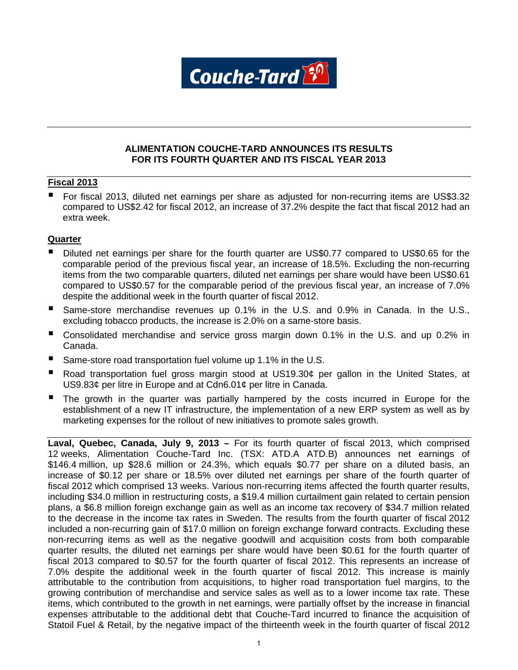

### **ALIMENTATION COUCHE-TARD ANNOUNCES ITS RESULTS FOR ITS FOURTH QUARTER AND ITS FISCAL YEAR 2013**

### **Fiscal 2013**

 For fiscal 2013, diluted net earnings per share as adjusted for non-recurring items are US\$3.32 compared to US\$2.42 for fiscal 2012, an increase of 37.2% despite the fact that fiscal 2012 had an extra week.

### **Quarter**

- Diluted net earnings per share for the fourth quarter are US\$0.77 compared to US\$0.65 for the comparable period of the previous fiscal year, an increase of 18.5%. Excluding the non-recurring items from the two comparable quarters, diluted net earnings per share would have been US\$0.61 compared to US\$0.57 for the comparable period of the previous fiscal year, an increase of 7.0% despite the additional week in the fourth quarter of fiscal 2012.
- Same-store merchandise revenues up 0.1% in the U.S. and 0.9% in Canada. In the U.S., excluding tobacco products, the increase is 2.0% on a same-store basis.
- Consolidated merchandise and service gross margin down 0.1% in the U.S. and up 0.2% in Canada.
- Same-store road transportation fuel volume up 1.1% in the U.S.
- Road transportation fuel gross margin stood at US19.30¢ per gallon in the United States, at US9.83¢ per litre in Europe and at Cdn6.01¢ per litre in Canada.
- The growth in the quarter was partially hampered by the costs incurred in Europe for the establishment of a new IT infrastructure, the implementation of a new ERP system as well as by marketing expenses for the rollout of new initiatives to promote sales growth.

**Laval, Quebec, Canada, July 9, 2013 –** For its fourth quarter of fiscal 2013, which comprised 12 weeks, Alimentation Couche-Tard Inc. (TSX: ATD.A ATD.B) announces net earnings of \$146.4 million, up \$28.6 million or 24.3%, which equals \$0.77 per share on a diluted basis, an increase of \$0.12 per share or 18.5% over diluted net earnings per share of the fourth quarter of fiscal 2012 which comprised 13 weeks. Various non-recurring items affected the fourth quarter results, including \$34.0 million in restructuring costs, a \$19.4 million curtailment gain related to certain pension plans, a \$6.8 million foreign exchange gain as well as an income tax recovery of \$34.7 million related to the decrease in the income tax rates in Sweden. The results from the fourth quarter of fiscal 2012 included a non-recurring gain of \$17.0 million on foreign exchange forward contracts. Excluding these non-recurring items as well as the negative goodwill and acquisition costs from both comparable quarter results, the diluted net earnings per share would have been \$0.61 for the fourth quarter of fiscal 2013 compared to \$0.57 for the fourth quarter of fiscal 2012. This represents an increase of 7.0% despite the additional week in the fourth quarter of fiscal 2012. This increase is mainly attributable to the contribution from acquisitions, to higher road transportation fuel margins, to the growing contribution of merchandise and service sales as well as to a lower income tax rate. These items, which contributed to the growth in net earnings, were partially offset by the increase in financial expenses attributable to the additional debt that Couche-Tard incurred to finance the acquisition of Statoil Fuel & Retail, by the negative impact of the thirteenth week in the fourth quarter of fiscal 2012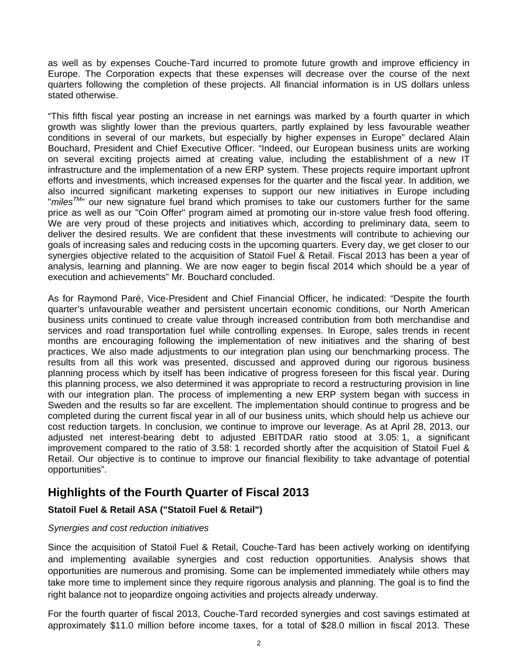as well as by expenses Couche-Tard incurred to promote future growth and improve efficiency in Europe. The Corporation expects that these expenses will decrease over the course of the next quarters following the completion of these projects. All financial information is in US dollars unless stated otherwise.

"This fifth fiscal year posting an increase in net earnings was marked by a fourth quarter in which growth was slightly lower than the previous quarters, partly explained by less favourable weather conditions in several of our markets, but especially by higher expenses in Europe" declared Alain Bouchard, President and Chief Executive Officer. "Indeed, our European business units are working on several exciting projects aimed at creating value, including the establishment of a new IT infrastructure and the implementation of a new ERP system. These projects require important upfront efforts and investments, which increased expenses for the quarter and the fiscal year. In addition, we also incurred significant marketing expenses to support our new initiatives in Europe including "*milesTM*" our new signature fuel brand which promises to take our customers further for the same price as well as our "Coin Offer" program aimed at promoting our in-store value fresh food offering. We are very proud of these projects and initiatives which, according to preliminary data, seem to deliver the desired results. We are confident that these investments will contribute to achieving our goals of increasing sales and reducing costs in the upcoming quarters. Every day, we get closer to our synergies objective related to the acquisition of Statoil Fuel & Retail. Fiscal 2013 has been a year of analysis, learning and planning. We are now eager to begin fiscal 2014 which should be a year of execution and achievements" Mr. Bouchard concluded.

As for Raymond Paré, Vice-President and Chief Financial Officer, he indicated: "Despite the fourth quarter's unfavourable weather and persistent uncertain economic conditions, our North American business units continued to create value through increased contribution from both merchandise and services and road transportation fuel while controlling expenses. In Europe, sales trends in recent months are encouraging following the implementation of new initiatives and the sharing of best practices. We also made adjustments to our integration plan using our benchmarking process. The results from all this work was presented, discussed and approved during our rigorous business planning process which by itself has been indicative of progress foreseen for this fiscal year. During this planning process, we also determined it was appropriate to record a restructuring provision in line with our integration plan. The process of implementing a new ERP system began with success in Sweden and the results so far are excellent. The implementation should continue to progress and be completed during the current fiscal year in all of our business units, which should help us achieve our cost reduction targets. In conclusion, we continue to improve our leverage. As at April 28, 2013, our adjusted net interest-bearing debt to adjusted EBITDAR ratio stood at 3.05: 1, a significant improvement compared to the ratio of 3.58: 1 recorded shortly after the acquisition of Statoil Fuel & Retail. Our objective is to continue to improve our financial flexibility to take advantage of potential opportunities".

# **Highlights of the Fourth Quarter of Fiscal 2013**

## **Statoil Fuel & Retail ASA ("Statoil Fuel & Retail")**

### *Synergies and cost reduction initiatives*

Since the acquisition of Statoil Fuel & Retail, Couche-Tard has been actively working on identifying and implementing available synergies and cost reduction opportunities. Analysis shows that opportunities are numerous and promising. Some can be implemented immediately while others may take more time to implement since they require rigorous analysis and planning. The goal is to find the right balance not to jeopardize ongoing activities and projects already underway.

For the fourth quarter of fiscal 2013, Couche-Tard recorded synergies and cost savings estimated at approximately \$11.0 million before income taxes, for a total of \$28.0 million in fiscal 2013. These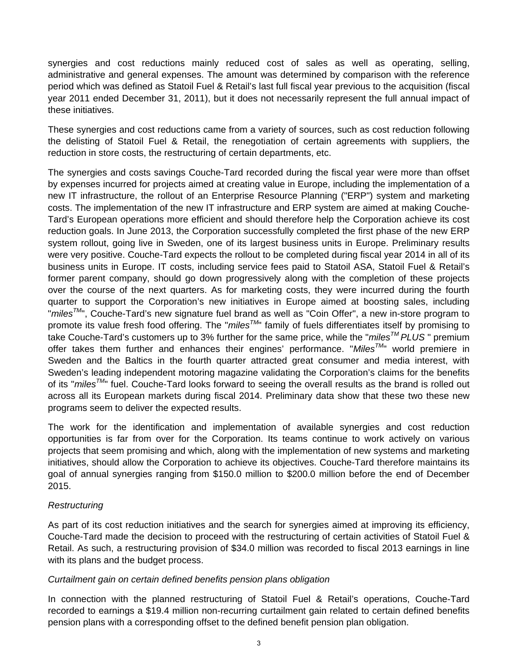synergies and cost reductions mainly reduced cost of sales as well as operating, selling, administrative and general expenses. The amount was determined by comparison with the reference period which was defined as Statoil Fuel & Retail's last full fiscal year previous to the acquisition (fiscal year 2011 ended December 31, 2011), but it does not necessarily represent the full annual impact of these initiatives.

These synergies and cost reductions came from a variety of sources, such as cost reduction following the delisting of Statoil Fuel & Retail, the renegotiation of certain agreements with suppliers, the reduction in store costs, the restructuring of certain departments, etc.

The synergies and costs savings Couche-Tard recorded during the fiscal year were more than offset by expenses incurred for projects aimed at creating value in Europe, including the implementation of a new IT infrastructure, the rollout of an Enterprise Resource Planning ("ERP") system and marketing costs. The implementation of the new IT infrastructure and ERP system are aimed at making Couche-Tard's European operations more efficient and should therefore help the Corporation achieve its cost reduction goals. In June 2013, the Corporation successfully completed the first phase of the new ERP system rollout, going live in Sweden, one of its largest business units in Europe. Preliminary results were very positive. Couche-Tard expects the rollout to be completed during fiscal year 2014 in all of its business units in Europe. IT costs, including service fees paid to Statoil ASA, Statoil Fuel & Retail's former parent company, should go down progressively along with the completion of these projects over the course of the next quarters. As for marketing costs, they were incurred during the fourth quarter to support the Corporation's new initiatives in Europe aimed at boosting sales, including "*milesTM*", Couche-Tard's new signature fuel brand as well as "Coin Offer", a new in-store program to promote its value fresh food offering. The "*milesTM*" family of fuels differentiates itself by promising to take Couche-Tard's customers up to 3% further for the same price, while the "*milesTM PLUS* " premium offer takes them further and enhances their engines' performance. "*MilesTM*" world premiere in Sweden and the Baltics in the fourth quarter attracted great consumer and media interest, with Sweden's leading independent motoring magazine validating the Corporation's claims for the benefits of its "*milesTM*" fuel. Couche-Tard looks forward to seeing the overall results as the brand is rolled out across all its European markets during fiscal 2014. Preliminary data show that these two these new programs seem to deliver the expected results.

The work for the identification and implementation of available synergies and cost reduction opportunities is far from over for the Corporation. Its teams continue to work actively on various projects that seem promising and which, along with the implementation of new systems and marketing initiatives, should allow the Corporation to achieve its objectives. Couche-Tard therefore maintains its goal of annual synergies ranging from \$150.0 million to \$200.0 million before the end of December 2015.

### *Restructuring*

As part of its cost reduction initiatives and the search for synergies aimed at improving its efficiency, Couche-Tard made the decision to proceed with the restructuring of certain activities of Statoil Fuel & Retail. As such, a restructuring provision of \$34.0 million was recorded to fiscal 2013 earnings in line with its plans and the budget process.

### *Curtailment gain on certain defined benefits pension plans obligation*

In connection with the planned restructuring of Statoil Fuel & Retail's operations, Couche-Tard recorded to earnings a \$19.4 million non-recurring curtailment gain related to certain defined benefits pension plans with a corresponding offset to the defined benefit pension plan obligation.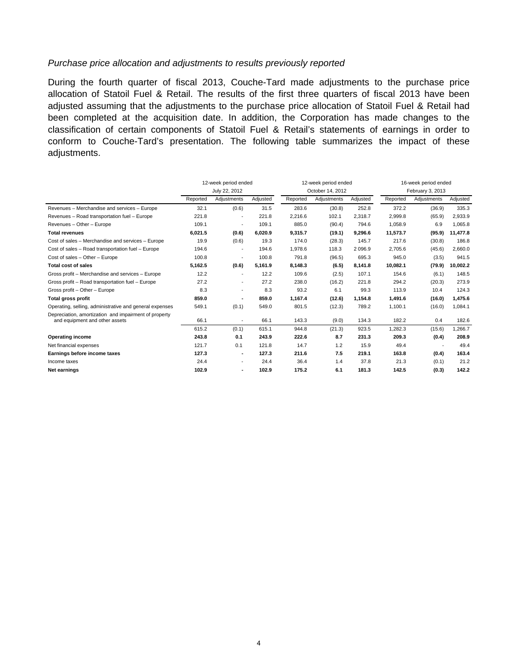### *Purchase price allocation and adjustments to results previously reported*

During the fourth quarter of fiscal 2013, Couche-Tard made adjustments to the purchase price allocation of Statoil Fuel & Retail. The results of the first three quarters of fiscal 2013 have been adjusted assuming that the adjustments to the purchase price allocation of Statoil Fuel & Retail had been completed at the acquisition date. In addition, the Corporation has made changes to the classification of certain components of Statoil Fuel & Retail's statements of earnings in order to conform to Couche-Tard's presentation. The following table summarizes the impact of these adjustments.

|                                                                                         |          | 12-week period ended     |          |          | 12-week period ended |           |                  | 16-week period ended     |          |
|-----------------------------------------------------------------------------------------|----------|--------------------------|----------|----------|----------------------|-----------|------------------|--------------------------|----------|
|                                                                                         |          | July 22, 2012            |          |          | October 14, 2012     |           | February 3, 2013 |                          |          |
|                                                                                         | Reported | Adjustments              | Adjusted | Reported | Adjustments          | Adjusted  | Reported         | Adjustments              | Adjusted |
| Revenues - Merchandise and services - Europe                                            | 32.1     | (0.6)                    | 31.5     | 283.6    | (30.8)               | 252.8     | 372.2            | (36.9)                   | 335.3    |
| Revenues - Road transportation fuel - Europe                                            | 221.8    | $\overline{\phantom{a}}$ | 221.8    | 2,216.6  | 102.1                | 2.318.7   | 2,999.8          | (65.9)                   | 2,933.9  |
| Revenues - Other - Europe                                                               | 109.1    | $\overline{\phantom{a}}$ | 109.1    | 885.0    | (90.4)               | 794.6     | 1,058.9          | 6.9                      | 1,065.8  |
| <b>Total revenues</b>                                                                   | 6,021.5  | (0.6)                    | 6,020.9  | 9,315.7  | (19.1)               | 9,296.6   | 11,573.7         | (95.9)                   | 11,477.8 |
| Cost of sales - Merchandise and services - Europe                                       | 19.9     | (0.6)                    | 19.3     | 174.0    | (28.3)               | 145.7     | 217.6            | (30.8)                   | 186.8    |
| Cost of sales - Road transportation fuel - Europe                                       | 194.6    |                          | 194.6    | 1,978.6  | 118.3                | 2 0 9 6.9 | 2.705.6          | (45.6)                   | 2,660.0  |
| Cost of sales - Other - Europe                                                          | 100.8    | $\overline{\phantom{a}}$ | 100.8    | 791.8    | (96.5)               | 695.3     | 945.0            | (3.5)                    | 941.5    |
| <b>Total cost of sales</b>                                                              | 5,162.5  | (0.6)                    | 5,161.9  | 8,148.3  | (6.5)                | 8,141.8   | 10,082.1         | (79.9)                   | 10,002.2 |
| Gross profit – Merchandise and services – Europe                                        | 12.2     |                          | 12.2     | 109.6    | (2.5)                | 107.1     | 154.6            | (6.1)                    | 148.5    |
| Gross profit - Road transportation fuel - Europe                                        | 27.2     | $\overline{\phantom{a}}$ | 27.2     | 238.0    | (16.2)               | 221.8     | 294.2            | (20.3)                   | 273.9    |
| Gross profit - Other - Europe                                                           | 8.3      | $\overline{\phantom{a}}$ | 8.3      | 93.2     | 6.1                  | 99.3      | 113.9            | 10.4                     | 124.3    |
| <b>Total gross profit</b>                                                               | 859.0    | ٠                        | 859.0    | 1,167.4  | (12.6)               | 1,154.8   | 1,491.6          | (16.0)                   | 1,475.6  |
| Operating, selling, administrative and general expenses                                 | 549.1    | (0.1)                    | 549.0    | 801.5    | (12.3)               | 789.2     | 1,100.1          | (16.0)                   | 1,084.1  |
| Depreciation, amortization and impairment of property<br>and equipment and other assets | 66.1     |                          | 66.1     | 143.3    | (9.0)                | 134.3     | 182.2            | 0.4                      | 182.6    |
|                                                                                         | 615.2    | (0.1)                    | 615.1    | 944.8    | (21.3)               | 923.5     | 1,282.3          | (15.6)                   | 1,266.7  |
| <b>Operating income</b>                                                                 | 243.8    | 0.1                      | 243.9    | 222.6    | 8.7                  | 231.3     | 209.3            | (0.4)                    | 208.9    |
| Net financial expenses                                                                  | 121.7    | 0.1                      | 121.8    | 14.7     | 1.2                  | 15.9      | 49.4             | $\overline{\phantom{a}}$ | 49.4     |
| Earnings before income taxes                                                            | 127.3    | ۰                        | 127.3    | 211.6    | 7.5                  | 219.1     | 163.8            | (0.4)                    | 163.4    |
| Income taxes                                                                            | 24.4     | $\blacksquare$           | 24.4     | 36.4     | 1.4                  | 37.8      | 21.3             | (0.1)                    | 21.2     |
| Net earnings                                                                            | 102.9    | ٠                        | 102.9    | 175.2    | 6.1                  | 181.3     | 142.5            | (0.3)                    | 142.2    |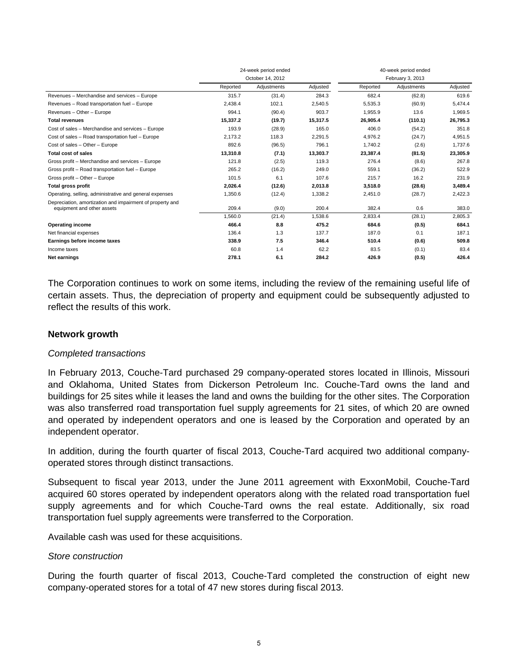|                                                                                         |          | 24-week period ended |          | 40-week period ended |                  |          |  |
|-----------------------------------------------------------------------------------------|----------|----------------------|----------|----------------------|------------------|----------|--|
|                                                                                         |          | October 14, 2012     |          |                      | February 3, 2013 |          |  |
|                                                                                         | Reported | Adjustments          | Adjusted | Reported             | Adjustments      | Adjusted |  |
| Revenues - Merchandise and services - Europe                                            | 315.7    | (31.4)               | 284.3    | 682.4                | (62.8)           | 619.6    |  |
| Revenues - Road transportation fuel - Europe                                            | 2,438.4  | 102.1                | 2,540.5  | 5,535.3              | (60.9)           | 5,474.4  |  |
| Revenues - Other - Europe                                                               | 994.1    | (90.4)               | 903.7    | 1,955.9              | 13.6             | 1,969.5  |  |
| <b>Total revenues</b>                                                                   | 15,337.2 | (19.7)               | 15,317.5 | 26,905.4             | (110.1)          | 26,795.3 |  |
| Cost of sales - Merchandise and services - Europe                                       | 193.9    | (28.9)               | 165.0    | 406.0                | (54.2)           | 351.8    |  |
| Cost of sales - Road transportation fuel - Europe                                       | 2,173.2  | 118.3                | 2,291.5  | 4,976.2              | (24.7)           | 4,951.5  |  |
| Cost of sales - Other - Europe                                                          | 892.6    | (96.5)               | 796.1    | 1,740.2              | (2.6)            | 1,737.6  |  |
| <b>Total cost of sales</b>                                                              | 13,310.8 | (7.1)                | 13,303.7 | 23,387.4             | (81.5)           | 23,305.9 |  |
| Gross profit - Merchandise and services - Europe                                        | 121.8    | (2.5)                | 119.3    | 276.4                | (8.6)            | 267.8    |  |
| Gross profit - Road transportation fuel - Europe                                        | 265.2    | (16.2)               | 249.0    | 559.1                | (36.2)           | 522.9    |  |
| Gross profit - Other - Europe                                                           | 101.5    | 6.1                  | 107.6    | 215.7                | 16.2             | 231.9    |  |
| <b>Total gross profit</b>                                                               | 2,026.4  | (12.6)               | 2,013.8  | 3,518.0              | (28.6)           | 3,489.4  |  |
| Operating, selling, administrative and general expenses                                 | 1,350.6  | (12.4)               | 1,338.2  | 2,451.0              | (28.7)           | 2,422.3  |  |
| Depreciation, amortization and impairment of property and<br>equipment and other assets | 209.4    | (9.0)                | 200.4    | 382.4                | 0.6              | 383.0    |  |
|                                                                                         | 1,560.0  | (21.4)               | 1,538.6  | 2,833.4              | (28.1)           | 2,805.3  |  |
| <b>Operating income</b>                                                                 | 466.4    | 8.8                  | 475.2    | 684.6                | (0.5)            | 684.1    |  |
| Net financial expenses                                                                  | 136.4    | 1.3                  | 137.7    | 187.0                | 0.1              | 187.1    |  |
| Earnings before income taxes                                                            | 338.9    | 7.5                  | 346.4    | 510.4                | (0.6)            | 509.8    |  |
| Income taxes                                                                            | 60.8     | 1.4                  | 62.2     | 83.5                 | (0.1)            | 83.4     |  |
| Net earnings                                                                            | 278.1    | 6.1                  | 284.2    | 426.9                | (0.5)            | 426.4    |  |

The Corporation continues to work on some items, including the review of the remaining useful life of certain assets. Thus, the depreciation of property and equipment could be subsequently adjusted to reflect the results of this work.

### **Network growth**

### *Completed transactions*

In February 2013, Couche-Tard purchased 29 company-operated stores located in Illinois, Missouri and Oklahoma, United States from Dickerson Petroleum Inc. Couche-Tard owns the land and buildings for 25 sites while it leases the land and owns the building for the other sites. The Corporation was also transferred road transportation fuel supply agreements for 21 sites, of which 20 are owned and operated by independent operators and one is leased by the Corporation and operated by an independent operator.

In addition, during the fourth quarter of fiscal 2013, Couche-Tard acquired two additional companyoperated stores through distinct transactions.

Subsequent to fiscal year 2013, under the June 2011 agreement with ExxonMobil, Couche-Tard acquired 60 stores operated by independent operators along with the related road transportation fuel supply agreements and for which Couche-Tard owns the real estate. Additionally, six road transportation fuel supply agreements were transferred to the Corporation.

Available cash was used for these acquisitions.

### *Store construction*

During the fourth quarter of fiscal 2013, Couche-Tard completed the construction of eight new company-operated stores for a total of 47 new stores during fiscal 2013.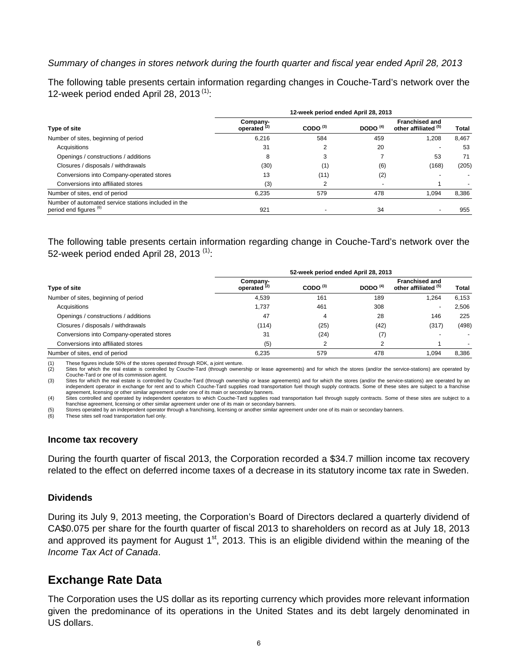### *Summary of changes in stores network during the fourth quarter and fiscal year ended April 28, 2013*

The following table presents certain information regarding changes in Couche-Tard's network over the 12-week period ended April 28, 2013 $<sup>(1)</sup>$ :</sup>

|                                                                                           |                                     | 12-week period ended April 28, 2013 |            |                                                          |              |
|-------------------------------------------------------------------------------------------|-------------------------------------|-------------------------------------|------------|----------------------------------------------------------|--------------|
| Type of site                                                                              | Company-<br>operated <sup>(2)</sup> | $\mathsf{CODO}^{(3)}$               | DODO $(4)$ | <b>Franchised and</b><br>other affiliated <sup>(5)</sup> | <b>Total</b> |
| Number of sites, beginning of period                                                      | 6,216                               | 584                                 | 459        | 1.208                                                    | 8,467        |
| Acquisitions                                                                              | 31                                  |                                     | 20         |                                                          | 53           |
| Openings / constructions / additions                                                      | 8                                   | 3                                   |            | 53                                                       | 71           |
| Closures / disposals / withdrawals                                                        | (30)                                | (1)                                 | (6)        | (168)                                                    | (205)        |
| Conversions into Company-operated stores                                                  | 13                                  | (11)                                | (2)        |                                                          |              |
| Conversions into affiliated stores                                                        | (3)                                 |                                     |            |                                                          |              |
| Number of sites, end of period                                                            | 6,235                               | 579                                 | 478        | 1.094                                                    | 8,386        |
| Number of automated service stations included in the<br>period end figures <sup>(6)</sup> | 921                                 |                                     | 34         |                                                          | 955          |

The following table presents certain information regarding change in Couche-Tard's network over the 52-week period ended April 28, 2013 $(1)$ :

|                                          |                                     | 52-week period ended April 28, 2013 |            |                                                          |       |
|------------------------------------------|-------------------------------------|-------------------------------------|------------|----------------------------------------------------------|-------|
| Type of site                             | Company-<br>operated <sup>(2)</sup> | CODO <sup>(3)</sup>                 | DODO $(4)$ | <b>Franchised and</b><br>other affiliated <sup>(5)</sup> | Total |
| Number of sites, beginning of period     | 4,539                               | 161                                 | 189        | 1.264                                                    | 6.153 |
| Acquisitions                             | 1,737                               | 461                                 | 308        |                                                          | 2,506 |
| Openings / constructions / additions     | 47                                  | 4                                   | 28         | 146                                                      | 225   |
| Closures / disposals / withdrawals       | (114)                               | (25)                                | (42)       | (317)                                                    | (498) |
| Conversions into Company-operated stores | 31                                  | (24)                                | (7)        |                                                          |       |
| Conversions into affiliated stores       | (5)                                 | $\overline{2}$                      | 2          |                                                          |       |
| Number of sites, end of period           | 6.235                               | 579                                 | 478        | 1.094                                                    | 8.386 |

(1) These figures include 50% of the stores operated through RDK, a joint venture.

(2) Sites for which the real estate is controlled by Couche-Tard (through ownership or lease agreements) and for which the stores (and/or the service-stations) are operated by Couche-Tard or one of its commission agent.

(3) Sites for which the real estate is controlled by Couche-Tard (through ownership or lease agreements) and for which the stores (and/or the service-stations) are operated by an<br>independent operator in exchange for rent a agreement, licensing or other similar agreement under one of its main or secondary banners.

(4) Sites controlled and operated by independent operators to which Couche-Tard supplies road transportation fuel through supply contracts. Some of these sites are subject to a<br>franchise agreement, licensing or other simil

Stores operated by an independent operator through a franchising, licensing or another similar agreement under one of its main or secondary banners. These sites sell road transportation fuel only.

### **Income tax recovery**

During the fourth quarter of fiscal 2013, the Corporation recorded a \$34.7 million income tax recovery related to the effect on deferred income taxes of a decrease in its statutory income tax rate in Sweden.

### **Dividends**

During its July 9, 2013 meeting, the Corporation's Board of Directors declared a quarterly dividend of CA\$0.075 per share for the fourth quarter of fiscal 2013 to shareholders on record as at July 18, 2013 and approved its payment for August  $1<sup>st</sup>$ , 2013. This is an eligible dividend within the meaning of the *Income Tax Act of Canada*.

# **Exchange Rate Data**

The Corporation uses the US dollar as its reporting currency which provides more relevant information given the predominance of its operations in the United States and its debt largely denominated in US dollars.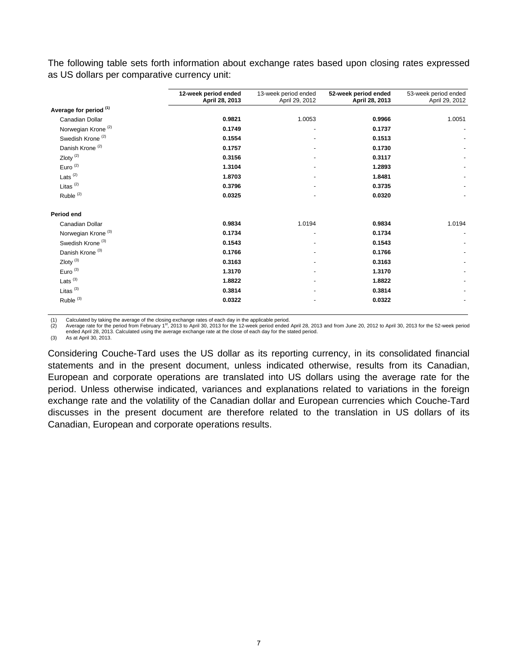The following table sets forth information about exchange rates based upon closing rates expressed as US dollars per comparative currency unit:

|                                   | 12-week period ended<br>April 28, 2013 | 13-week period ended<br>April 29, 2012 | 52-week period ended<br>April 28, 2013 | 53-week period ended<br>April 29, 2012 |
|-----------------------------------|----------------------------------------|----------------------------------------|----------------------------------------|----------------------------------------|
| Average for period <sup>(1)</sup> |                                        |                                        |                                        |                                        |
| Canadian Dollar                   | 0.9821                                 | 1.0053                                 | 0.9966                                 | 1.0051                                 |
| Norwegian Krone <sup>(2)</sup>    | 0.1749                                 |                                        | 0.1737                                 |                                        |
| Swedish Krone <sup>(2)</sup>      | 0.1554                                 |                                        | 0.1513                                 |                                        |
| Danish Krone <sup>(2)</sup>       | 0.1757                                 |                                        | 0.1730                                 |                                        |
| Zloty <sup>(2)</sup>              | 0.3156                                 |                                        | 0.3117                                 |                                        |
| Euro $(2)$                        | 1.3104                                 |                                        | 1.2893                                 |                                        |
| Lats $(2)$                        | 1.8703                                 |                                        | 1.8481                                 |                                        |
| Litas $(2)$                       | 0.3796                                 |                                        | 0.3735                                 |                                        |
| Ruble <sup>(2)</sup>              | 0.0325                                 |                                        | 0.0320                                 |                                        |
| <b>Period end</b>                 |                                        |                                        |                                        |                                        |
| Canadian Dollar                   | 0.9834                                 | 1.0194                                 | 0.9834                                 | 1.0194                                 |
| Norwegian Krone <sup>(3)</sup>    | 0.1734                                 |                                        | 0.1734                                 |                                        |
| Swedish Krone <sup>(3)</sup>      | 0.1543                                 |                                        | 0.1543                                 |                                        |
| Danish Krone <sup>(3)</sup>       | 0.1766                                 |                                        | 0.1766                                 |                                        |
| Zloty $(3)$                       | 0.3163                                 |                                        | 0.3163                                 |                                        |
| Euro $(3)$                        | 1.3170                                 |                                        | 1.3170                                 |                                        |
| Lats $^{(3)}$                     | 1.8822                                 |                                        | 1.8822                                 |                                        |
| Litas $(3)$                       | 0.3814                                 |                                        | 0.3814                                 |                                        |
| Ruble <sup>(3)</sup>              | 0.0322                                 |                                        | 0.0322                                 |                                        |

(1) Calculated by taking the average of the closing exchange rates of each day in the applicable period.<br>(2) Average rate for the period from February 1<sup>st</sup>, 2013 to April 30, 2013 for the 12-week period ended April 28, 20 ended April 28, 2013. Calculated using the average exchange rate at the close of each day for the stated period. (3) As at April 30, 2013.

Considering Couche-Tard uses the US dollar as its reporting currency, in its consolidated financial statements and in the present document, unless indicated otherwise, results from its Canadian, European and corporate operations are translated into US dollars using the average rate for the period. Unless otherwise indicated, variances and explanations related to variations in the foreign exchange rate and the volatility of the Canadian dollar and European currencies which Couche-Tard discusses in the present document are therefore related to the translation in US dollars of its Canadian, European and corporate operations results.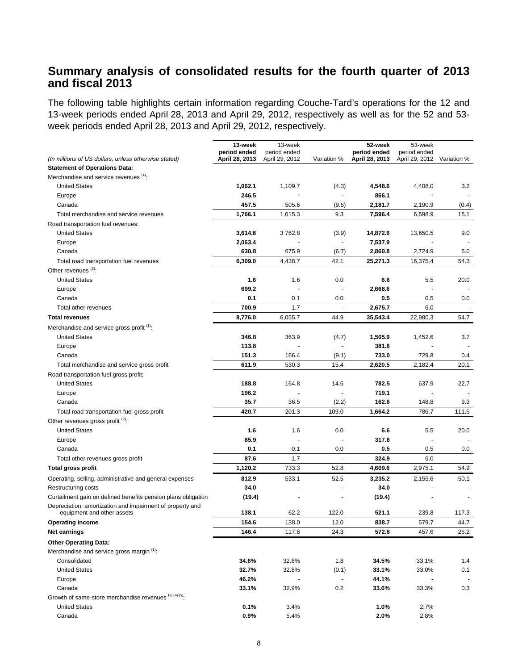# **Summary analysis of consolidated results for the fourth quarter of 2013 and fiscal 2013**

The following table highlights certain information regarding Couche-Tard's operations for the 12 and 13-week periods ended April 28, 2013 and April 29, 2012, respectively as well as for the 52 and 53 week periods ended April 28, 2013 and April 29, 2012, respectively.

| (In millions of US dollars, unless otherwise stated)                                    | 13-week<br>period ended<br>April 28, 2013 | 13-week<br>period ended<br>April 29, 2012 | Variation % | 52-week<br>period ended<br>April 28, 2013 | 53-week<br>period ended<br>April 29, 2012 Variation % |       |
|-----------------------------------------------------------------------------------------|-------------------------------------------|-------------------------------------------|-------------|-------------------------------------------|-------------------------------------------------------|-------|
| <b>Statement of Operations Data:</b>                                                    |                                           |                                           |             |                                           |                                                       |       |
| Merchandise and service revenues (1):                                                   |                                           |                                           |             |                                           |                                                       |       |
| <b>United States</b>                                                                    | 1,062.1                                   | 1,109.7                                   | (4.3)       | 4,548.6                                   | 4,408.0                                               | 3.2   |
| Europe                                                                                  | 246.5                                     |                                           |             | 866.1                                     |                                                       |       |
| Canada                                                                                  | 457.5                                     | 505.6                                     | (9.5)       | 2,181.7                                   | 2,190.9                                               | (0.4) |
| Total merchandise and service revenues                                                  | 1,766.1                                   | 1,615.3                                   | 9.3         | 7,596.4                                   | 6,598.9                                               | 15.1  |
| Road transportation fuel revenues:                                                      |                                           |                                           |             |                                           |                                                       |       |
| <b>United States</b>                                                                    | 3,614.8                                   | 3762.8                                    | (3.9)       | 14,872.6                                  | 13,650.5                                              | 9.0   |
| Europe                                                                                  | 2,063.4                                   |                                           |             | 7,537.9                                   |                                                       |       |
| Canada                                                                                  | 630.8                                     | 675.9                                     | (6.7)       | 2,860.8                                   | 2,724.9                                               | 5.0   |
| Total road transportation fuel revenues                                                 | 6,309.0                                   | 4,438.7                                   | 42.1        | 25,271.3                                  | 16,375.4                                              | 54.3  |
| Other revenues <sup>(2)</sup> :                                                         |                                           |                                           |             |                                           |                                                       |       |
| <b>United States</b>                                                                    | 1.6                                       | 1.6                                       | 0.0         | 6.6                                       | 5.5                                                   | 20.0  |
| Europe                                                                                  | 699.2                                     |                                           |             | 2,668.6                                   |                                                       |       |
| Canada                                                                                  | 0.1                                       | 0.1                                       | 0.0         | 0.5                                       | 0.5                                                   | 0.0   |
| Total other revenues                                                                    | 700.9                                     | 1.7                                       |             | 2,675.7                                   | 6.0                                                   |       |
| <b>Total revenues</b>                                                                   | 8,776.0                                   | 6,055.7                                   | 44.9        | 35,543.4                                  | 22,980.3                                              | 54.7  |
|                                                                                         |                                           |                                           |             |                                           |                                                       |       |
| Merchandise and service gross profit <sup>(1)</sup> :                                   |                                           |                                           |             |                                           |                                                       |       |
| <b>United States</b>                                                                    | 346.8                                     | 363.9                                     | (4.7)       | 1,505.9                                   | 1,452.6                                               | 3.7   |
| Europe                                                                                  | 113.8                                     |                                           |             | 381.6                                     |                                                       |       |
| Canada                                                                                  | 151.3                                     | 166.4                                     | (9.1)       | 733.0                                     | 729.8                                                 | 0.4   |
| Total merchandise and service gross profit                                              | 611.9                                     | 530.3                                     | 15.4        | 2,620.5                                   | 2,182.4                                               | 20.1  |
| Road transportation fuel gross profit:                                                  |                                           |                                           |             |                                           |                                                       |       |
| <b>United States</b>                                                                    | 188.8                                     | 164.8                                     | 14.6        | 782.5                                     | 637.9                                                 | 22.7  |
| Europe                                                                                  | 196.2                                     |                                           |             | 719.1                                     |                                                       |       |
| Canada                                                                                  | 35.7                                      | 36.5                                      | (2.2)       | 162.6                                     | 148.8                                                 | 9.3   |
| Total road transportation fuel gross profit                                             | 420.7                                     | 201.3                                     | 109.0       | 1,664.2                                   | 786.7                                                 | 111.5 |
| Other revenues gross profit <sup>(2)</sup> :                                            |                                           |                                           |             |                                           |                                                       |       |
| <b>United States</b>                                                                    | 1.6                                       | 1.6                                       | 0.0         | 6.6                                       | 5.5                                                   | 20.0  |
| Europe                                                                                  | 85.9                                      |                                           |             | 317.8                                     |                                                       |       |
| Canada                                                                                  | 0.1                                       | 0.1                                       | 0.0         | 0.5                                       | 0.5                                                   | 0.0   |
| Total other revenues gross profit                                                       | 87.6                                      | 1.7                                       |             | 324.9                                     | 6.0                                                   |       |
| <b>Total gross profit</b>                                                               | 1,120.2                                   | 733.3                                     | 52.8        | 4,609.6                                   | 2,975.1                                               | 54.9  |
| Operating, selling, administrative and general expenses                                 | 812.9                                     | 533.1                                     | 52.5        | 3,235.2                                   | 2,155.6                                               | 50.1  |
| Restructuring costs                                                                     | 34.0                                      |                                           |             | 34.0                                      |                                                       |       |
| Curtailment gain on defined benefits pension plans obligation                           | (19.4)                                    |                                           |             | (19.4)                                    |                                                       |       |
| Depreciation, amortization and impairment of property and<br>equipment and other assets | 138.1                                     | 62.2                                      | 122.0       | 521.1                                     | 239.8                                                 | 117.3 |
| <b>Operating income</b>                                                                 | 154.6                                     | 138.0                                     | 12.0        | 838.7                                     | 579.7                                                 | 44.7  |
| <b>Net earnings</b>                                                                     | 146.4                                     | 117.8                                     | 24.3        | 572.8                                     | 457.6                                                 | 25.2  |
| <b>Other Operating Data:</b>                                                            |                                           |                                           |             |                                           |                                                       |       |
| Merchandise and service gross margin <sup>(1)</sup> :                                   |                                           |                                           |             |                                           |                                                       |       |
| Consolidated                                                                            | 34.6%                                     | 32.8%                                     | 1.8         | 34.5%                                     | 33.1%                                                 | 1.4   |
| <b>United States</b>                                                                    | 32.7%                                     | 32.8%                                     | (0.1)       | 33.1%                                     | 33.0%                                                 | 0.1   |
| Europe                                                                                  | 46.2%                                     |                                           |             | 44.1%                                     |                                                       |       |
| Canada                                                                                  | 33.1%                                     | 32.9%                                     | 0.2         | 33.6%                                     | 33.3%                                                 | 0.3   |
| Growth of same-store merchandise revenues (3) (4) (5).                                  |                                           |                                           |             |                                           |                                                       |       |
| <b>United States</b>                                                                    | 0.1%                                      | 3.4%                                      |             | 1.0%                                      | 2.7%                                                  |       |
| Canada                                                                                  | 0.9%                                      | 5.4%                                      |             | 2.0%                                      | 2.8%                                                  |       |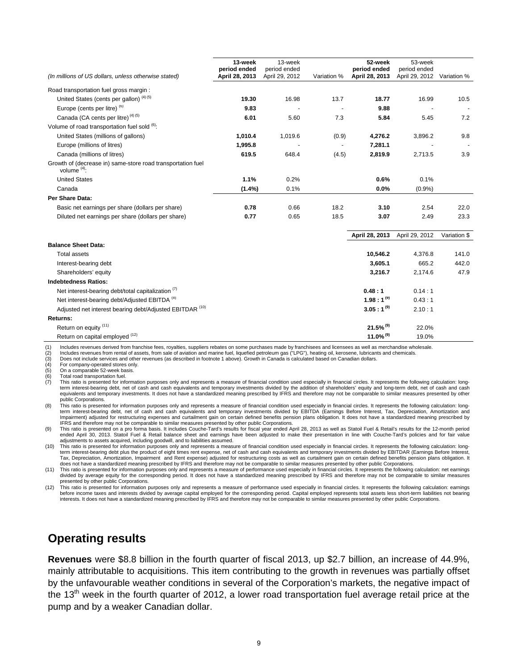| (In millions of US dollars, unless otherwise stated)                          | 13-week<br>period ended<br>April 28, 2013 | 13-week<br>period ended<br>April 29, 2012 | Variation % | 52-week<br>period ended<br>April 28, 2013 | 53-week<br>period ended<br>April 29, 2012 | Variation %  |
|-------------------------------------------------------------------------------|-------------------------------------------|-------------------------------------------|-------------|-------------------------------------------|-------------------------------------------|--------------|
| Road transportation fuel gross margin :                                       |                                           |                                           |             |                                           |                                           |              |
| United States (cents per gallon) <sup>(4)(5)</sup>                            | 19.30                                     | 16.98                                     | 13.7        | 18.77                                     | 16.99                                     | 10.5         |
| Europe (cents per litre) $(6)$                                                | 9.83                                      |                                           |             | 9.88                                      |                                           |              |
| Canada (CA cents per litre) <sup>(4)(5)</sup>                                 | 6.01                                      | 5.60                                      | 7.3         | 5.84                                      | 5.45                                      | 7.2          |
| Volume of road transportation fuel sold (6):                                  |                                           |                                           |             |                                           |                                           |              |
| United States (millions of gallons)                                           | 1,010.4                                   | 1,019.6                                   | (0.9)       | 4,276.2                                   | 3,896.2                                   | 9.8          |
| Europe (millions of litres)                                                   | 1,995.8                                   |                                           |             | 7,281.1                                   |                                           |              |
| Canada (millions of litres)                                                   | 619.5                                     | 648.4                                     | (4.5)       | 2,819.9                                   | 2,713.5                                   | 3.9          |
| Growth of (decrease in) same-store road transportation fuel<br>volume $(4)$ : |                                           |                                           |             |                                           |                                           |              |
| <b>United States</b>                                                          | 1.1%                                      | 0.2%                                      |             | 0.6%                                      | 0.1%                                      |              |
| Canada                                                                        | $(1.4\%)$                                 | 0.1%                                      |             | 0.0%                                      | (0.9%                                     |              |
| Per Share Data:                                                               |                                           |                                           |             |                                           |                                           |              |
| Basic net earnings per share (dollars per share)                              | 0.78                                      | 0.66                                      | 18.2        | 3.10                                      | 2.54                                      | 22.0         |
| Diluted net earnings per share (dollars per share)                            | 0.77                                      | 0.65                                      | 18.5        | 3.07                                      | 2.49                                      | 23.3         |
|                                                                               |                                           |                                           |             |                                           |                                           |              |
|                                                                               |                                           |                                           |             | April 28, 2013                            | April 29, 2012                            | Variation \$ |
| <b>Balance Sheet Data:</b>                                                    |                                           |                                           |             |                                           |                                           |              |
| <b>Total assets</b>                                                           |                                           |                                           |             | 10,546.2                                  | 4,376.8                                   | 141.0        |
| Interest-bearing debt                                                         |                                           |                                           |             | 3,605.1                                   | 665.2                                     | 442.0        |
| Shareholders' equity                                                          |                                           |                                           |             | 3,216.7                                   | 2,174.6                                   | 47.9         |
| <b>Indebtedness Ratios:</b>                                                   |                                           |                                           |             |                                           |                                           |              |
| Net interest-bearing debt/total capitalization <sup>(7)</sup>                 |                                           |                                           |             | 0.48:1                                    | 0.14:1                                    |              |
| Net interest-bearing debt/Adjusted EBITDA <sup>(8)</sup>                      |                                           |                                           |             | $1.98:1^{(9)}$                            | 0.43:1                                    |              |
| Adjusted net interest bearing debt/Adjusted EBITDAR <sup>(10)</sup>           |                                           |                                           |             | $3.05:1^{(9)}$                            | 2.10:1                                    |              |
| Returns:                                                                      |                                           |                                           |             |                                           |                                           |              |
| Return on equity (11)                                                         |                                           |                                           |             | $21.5\%$ <sup>(9)</sup>                   | 22.0%                                     |              |
| Return on capital employed (12)                                               |                                           |                                           |             | $11.0\%$ <sup>(9)</sup>                   | 19.0%                                     |              |

(1) Includes revenues derived from franchise fees, royalties, suppliers rebates on some purchases made by franchisees and licensees as well as merchandise wholesale<br>(2) Includes revenues from rental of assets, from sale of

(2) Includes revenues from rental of assets, from sale of aviation and marine fuel, liquefied petroleum gas ("LPG"), heating oil, kerosene, lubricants and chemicals.<br>
(3) Does not include services and other revenues (as de

Does not include services and other revenues (as described in footnote 1 above). Growth in Canada is calculated based on Canadian dollars.

For company-operated stores only.

(5) On a comparable 52-week basis.<br>  $(6)$  Total road transportation fuel.<br>  $(7)$  This ratio is presented for inform Total road transportation fuel.

This ratio is presented for information purposes only and represents a measure of financial condition used especially in financial circles. It represents the following calculation: longterm interest-bearing debt, net of cash and cash equivalents and temporary investments divided by the addition of shareholders' equity and long-term debt, net of cash and cash equivalents and temporary investments. It does not have a standardized meaning prescribed by IFRS and therefore may not be comparable to similar measures presented by other

public Corporations.<br>(8) This ratio is presented for information purposes only and represents a measure of financial condition used especially in financial circles. It represents the following calculation: long-<br>term inter Impairment) adjusted for restructuring expenses and curtailment gain on certain defined benefits pension plans obligation. It does not have a standardized meaning prescribed by IFRS and therefore may not be comparable to similar measures presented by other public Corporations.

(9) This ratio is presented on a pro forma basis. It includes Couche-Tard's results for fiscal year ended April 28, 2013 as well as Statoil Fuel & Retail's results for the 12-month period ended April 30, 2013. Statoil Fuel & Retail balance sheet and earnings have been adjusted to make their presentation in line with Couche-Tard's policies and for fair value adjustments to assets acquired, including goodwill, and to liabilities assumed.

(10) This ratio is presented for information purposes only and represents a measure of financial condition used especially in financial circles. It represents the following calculation: longterm interest-bearing debt plus the product of eight times rent expense, net of cash and cash equivalents and temporary investments divided by EBITDAR (Earnings Before Interest,<br>Tax, Depreciation, Amortization, Impairment does not have a standardized meaning prescribed by IFRS and therefore may not be comparable to similar measures presented by other public Corporations.

(11) This ratio is presented for information purposes only and represents a measure of performance used especially in financial circles. It represents the following calculation: net earnings divided by average equity for the corresponding period. It does not have a standardized meaning prescribed by IFRS and therefore may not be comparable to similar measures presented by other public Corporations.

(12) This ratio is presented for information purposes only and represents a measure of performance used especially in financial circles. It represents the following calculation: earnings before income taxes and interests divided by average capital employed for the corresponding period. Capital employed represents total assets less short-term liabilities not bearing<br>interests. It does not have a standardize

# **Operating results**

**Revenues** were \$8.8 billion in the fourth quarter of fiscal 2013, up \$2.7 billion, an increase of 44.9%, mainly attributable to acquisitions. This item contributing to the growth in revenues was partially offset by the unfavourable weather conditions in several of the Corporation's markets, the negative impact of the 13<sup>th</sup> week in the fourth quarter of 2012, a lower road transportation fuel average retail price at the pump and by a weaker Canadian dollar.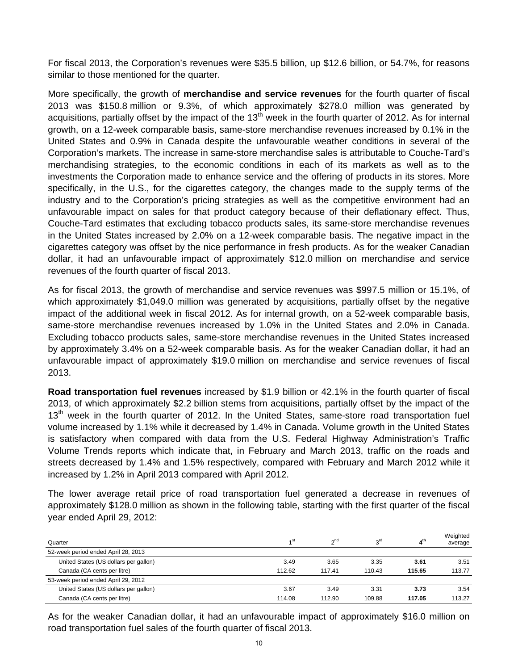For fiscal 2013, the Corporation's revenues were \$35.5 billion, up \$12.6 billion, or 54.7%, for reasons similar to those mentioned for the quarter.

More specifically, the growth of **merchandise and service revenues** for the fourth quarter of fiscal 2013 was \$150.8 million or 9.3%, of which approximately \$278.0 million was generated by acquisitions, partially offset by the impact of the  $13<sup>th</sup>$  week in the fourth quarter of 2012. As for internal growth, on a 12-week comparable basis, same-store merchandise revenues increased by 0.1% in the United States and 0.9% in Canada despite the unfavourable weather conditions in several of the Corporation's markets. The increase in same-store merchandise sales is attributable to Couche-Tard's merchandising strategies, to the economic conditions in each of its markets as well as to the investments the Corporation made to enhance service and the offering of products in its stores. More specifically, in the U.S., for the cigarettes category, the changes made to the supply terms of the industry and to the Corporation's pricing strategies as well as the competitive environment had an unfavourable impact on sales for that product category because of their deflationary effect. Thus, Couche-Tard estimates that excluding tobacco products sales, its same-store merchandise revenues in the United States increased by 2.0% on a 12-week comparable basis. The negative impact in the cigarettes category was offset by the nice performance in fresh products. As for the weaker Canadian dollar, it had an unfavourable impact of approximately \$12.0 million on merchandise and service revenues of the fourth quarter of fiscal 2013.

As for fiscal 2013, the growth of merchandise and service revenues was \$997.5 million or 15.1%, of which approximately \$1,049.0 million was generated by acquisitions, partially offset by the negative impact of the additional week in fiscal 2012. As for internal growth, on a 52-week comparable basis, same-store merchandise revenues increased by 1.0% in the United States and 2.0% in Canada. Excluding tobacco products sales, same-store merchandise revenues in the United States increased by approximately 3.4% on a 52-week comparable basis. As for the weaker Canadian dollar, it had an unfavourable impact of approximately \$19.0 million on merchandise and service revenues of fiscal 2013.

**Road transportation fuel revenues** increased by \$1.9 billion or 42.1% in the fourth quarter of fiscal 2013, of which approximately \$2.2 billion stems from acquisitions, partially offset by the impact of the 13<sup>th</sup> week in the fourth quarter of 2012. In the United States, same-store road transportation fuel volume increased by 1.1% while it decreased by 1.4% in Canada. Volume growth in the United States is satisfactory when compared with data from the U.S. Federal Highway Administration's Traffic Volume Trends reports which indicate that, in February and March 2013, traffic on the roads and streets decreased by 1.4% and 1.5% respectively, compared with February and March 2012 while it increased by 1.2% in April 2013 compared with April 2012.

The lower average retail price of road transportation fuel generated a decrease in revenues of approximately \$128.0 million as shown in the following table, starting with the first quarter of the fiscal year ended April 29, 2012:

| Quarter                               | 4 St   | 2 <sub>nd</sub> | rd و   | 4 <sup>th</sup> | Weighted<br>average |
|---------------------------------------|--------|-----------------|--------|-----------------|---------------------|
| 52-week period ended April 28, 2013   |        |                 |        |                 |                     |
| United States (US dollars per gallon) | 3.49   | 3.65            | 3.35   | 3.61            | 3.51                |
| Canada (CA cents per litre)           | 112.62 | 117.41          | 110.43 | 115.65          | 113.77              |
| 53-week period ended April 29, 2012   |        |                 |        |                 |                     |
| United States (US dollars per gallon) | 3.67   | 3.49            | 3.31   | 3.73            | 3.54                |
| Canada (CA cents per litre)           | 114.08 | 112.90          | 109.88 | 117.05          | 113.27              |

As for the weaker Canadian dollar, it had an unfavourable impact of approximately \$16.0 million on road transportation fuel sales of the fourth quarter of fiscal 2013.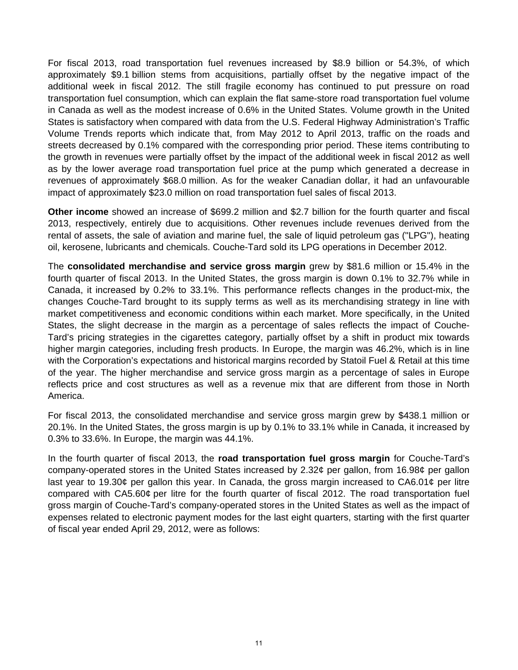For fiscal 2013, road transportation fuel revenues increased by \$8.9 billion or 54.3%, of which approximately \$9.1 billion stems from acquisitions, partially offset by the negative impact of the additional week in fiscal 2012. The still fragile economy has continued to put pressure on road transportation fuel consumption, which can explain the flat same-store road transportation fuel volume in Canada as well as the modest increase of 0.6% in the United States. Volume growth in the United States is satisfactory when compared with data from the U.S. Federal Highway Administration's Traffic Volume Trends reports which indicate that, from May 2012 to April 2013, traffic on the roads and streets decreased by 0.1% compared with the corresponding prior period. These items contributing to the growth in revenues were partially offset by the impact of the additional week in fiscal 2012 as well as by the lower average road transportation fuel price at the pump which generated a decrease in revenues of approximately \$68.0 million. As for the weaker Canadian dollar, it had an unfavourable impact of approximately \$23.0 million on road transportation fuel sales of fiscal 2013.

**Other income** showed an increase of \$699.2 million and \$2.7 billion for the fourth quarter and fiscal 2013, respectively, entirely due to acquisitions. Other revenues include revenues derived from the rental of assets, the sale of aviation and marine fuel, the sale of liquid petroleum gas ("LPG"), heating oil, kerosene, lubricants and chemicals. Couche-Tard sold its LPG operations in December 2012.

The **consolidated merchandise and service gross margin** grew by \$81.6 million or 15.4% in the fourth quarter of fiscal 2013. In the United States, the gross margin is down 0.1% to 32.7% while in Canada, it increased by 0.2% to 33.1%. This performance reflects changes in the product-mix, the changes Couche-Tard brought to its supply terms as well as its merchandising strategy in line with market competitiveness and economic conditions within each market. More specifically, in the United States, the slight decrease in the margin as a percentage of sales reflects the impact of Couche-Tard's pricing strategies in the cigarettes category, partially offset by a shift in product mix towards higher margin categories, including fresh products. In Europe, the margin was 46.2%, which is in line with the Corporation's expectations and historical margins recorded by Statoil Fuel & Retail at this time of the year. The higher merchandise and service gross margin as a percentage of sales in Europe reflects price and cost structures as well as a revenue mix that are different from those in North America.

For fiscal 2013, the consolidated merchandise and service gross margin grew by \$438.1 million or 20.1%. In the United States, the gross margin is up by 0.1% to 33.1% while in Canada, it increased by 0.3% to 33.6%. In Europe, the margin was 44.1%.

In the fourth quarter of fiscal 2013, the **road transportation fuel gross margin** for Couche-Tard's company-operated stores in the United States increased by 2.32¢ per gallon, from 16.98¢ per gallon last year to 19.30¢ per gallon this year. In Canada, the gross margin increased to CA6.01¢ per litre compared with CA5.60¢ per litre for the fourth quarter of fiscal 2012. The road transportation fuel gross margin of Couche-Tard's company-operated stores in the United States as well as the impact of expenses related to electronic payment modes for the last eight quarters, starting with the first quarter of fiscal year ended April 29, 2012, were as follows: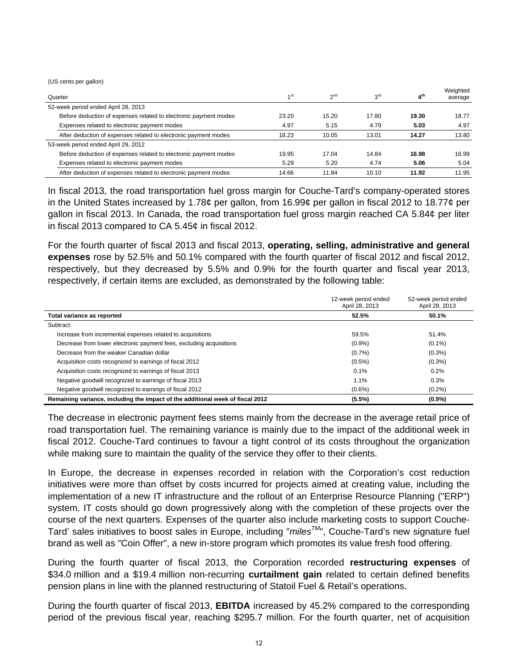(US cents per gallon)

| Quarter                                                          | ⊿ st  | <sub>റ</sub> nd | 3 <sup>rd</sup> | 4 <sup>th</sup> | Weighted<br>average |
|------------------------------------------------------------------|-------|-----------------|-----------------|-----------------|---------------------|
| 52-week period ended April 28, 2013                              |       |                 |                 |                 |                     |
| Before deduction of expenses related to electronic payment modes | 23.20 | 15.20           | 17.80           | 19.30           | 18.77               |
| Expenses related to electronic payment modes                     | 4.97  | 5.15            | 4.79            | 5.03            | 4.97                |
| After deduction of expenses related to electronic payment modes  | 18.23 | 10.05           | 13.01           | 14.27           | 13.80               |
| 53-week period ended April 29, 2012                              |       |                 |                 |                 |                     |
| Before deduction of expenses related to electronic payment modes | 19.95 | 17.04           | 14.84           | 16.98           | 16.99               |
| Expenses related to electronic payment modes                     | 5.29  | 5.20            | 4.74            | 5.06            | 5.04                |
| After deduction of expenses related to electronic payment modes  | 14.66 | 11.84           | 10.10           | 11.92           | 11.95               |

In fiscal 2013, the road transportation fuel gross margin for Couche-Tard's company-operated stores in the United States increased by 1.78¢ per gallon, from 16.99¢ per gallon in fiscal 2012 to 18.77¢ per gallon in fiscal 2013. In Canada, the road transportation fuel gross margin reached CA 5.84¢ per liter in fiscal 2013 compared to CA 5.45¢ in fiscal 2012.

For the fourth quarter of fiscal 2013 and fiscal 2013, **operating, selling, administrative and general expenses** rose by 52.5% and 50.1% compared with the fourth quarter of fiscal 2012 and fiscal 2012, respectively, but they decreased by 5.5% and 0.9% for the fourth quarter and fiscal year 2013, respectively, if certain items are excluded, as demonstrated by the following table:

|                                                                                | 12-week period ended<br>April 28, 2013 | 52-week period ended<br>April 28, 2013 |
|--------------------------------------------------------------------------------|----------------------------------------|----------------------------------------|
| Total variance as reported                                                     | 52.5%                                  | 50.1%                                  |
| Subtract:                                                                      |                                        |                                        |
| Increase from incremental expenses related to acquisitions                     | 59.5%                                  | 51.4%                                  |
| Decrease from lower electronic payment fees, excluding acquisitions            | $(0.9\%)$                              | $(0.1\%)$                              |
| Decrease from the weaker Canadian dollar                                       | (0.7%                                  | $(0.3\%)$                              |
| Acquisition costs recognized to earnings of fiscal 2012                        | $(0.5\%)$                              | $(0.3\%)$                              |
| Acquisition costs recognized to earnings of fiscal 2013                        | 0.1%                                   | 0.2%                                   |
| Negative goodwill recognized to earnings of fiscal 2013                        | 1.1%                                   | 0.3%                                   |
| Negative goodwill recognized to earnings of fiscal 2012                        | $(0.6\%)$                              | $(0.2\%)$                              |
| Remaining variance, including the impact of the additional week of fiscal 2012 | $(5.5\%)$                              | $(0.9\%)$                              |

The decrease in electronic payment fees stems mainly from the decrease in the average retail price of road transportation fuel. The remaining variance is mainly due to the impact of the additional week in fiscal 2012. Couche-Tard continues to favour a tight control of its costs throughout the organization while making sure to maintain the quality of the service they offer to their clients.

In Europe, the decrease in expenses recorded in relation with the Corporation's cost reduction initiatives were more than offset by costs incurred for projects aimed at creating value, including the implementation of a new IT infrastructure and the rollout of an Enterprise Resource Planning ("ERP") system. IT costs should go down progressively along with the completion of these projects over the course of the next quarters. Expenses of the quarter also include marketing costs to support Couche-Tard' sales initiatives to boost sales in Europe, including "*milesTM*", Couche-Tard's new signature fuel brand as well as "Coin Offer", a new in-store program which promotes its value fresh food offering.

During the fourth quarter of fiscal 2013, the Corporation recorded **restructuring expenses** of \$34.0 million and a \$19.4 million non-recurring **curtailment gain** related to certain defined benefits pension plans in line with the planned restructuring of Statoil Fuel & Retail's operations.

During the fourth quarter of fiscal 2013, **EBITDA** increased by 45.2% compared to the corresponding period of the previous fiscal year, reaching \$295.7 million. For the fourth quarter, net of acquisition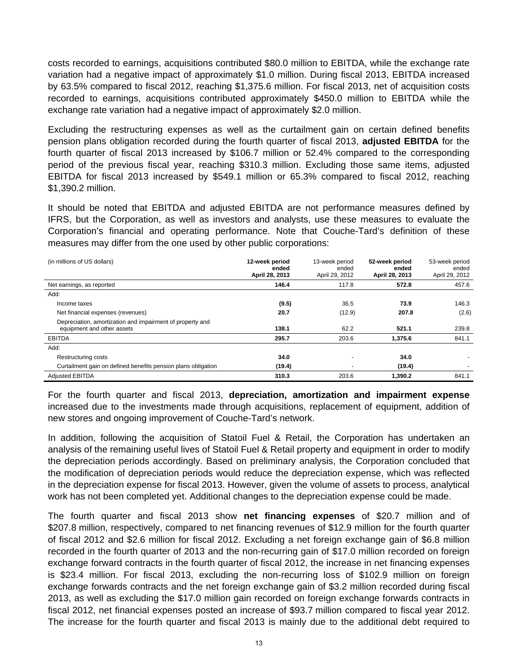costs recorded to earnings, acquisitions contributed \$80.0 million to EBITDA, while the exchange rate variation had a negative impact of approximately \$1.0 million. During fiscal 2013, EBITDA increased by 63.5% compared to fiscal 2012, reaching \$1,375.6 million. For fiscal 2013, net of acquisition costs recorded to earnings, acquisitions contributed approximately \$450.0 million to EBITDA while the exchange rate variation had a negative impact of approximately \$2.0 million.

Excluding the restructuring expenses as well as the curtailment gain on certain defined benefits pension plans obligation recorded during the fourth quarter of fiscal 2013, **adjusted EBITDA** for the fourth quarter of fiscal 2013 increased by \$106.7 million or 52.4% compared to the corresponding period of the previous fiscal year, reaching \$310.3 million. Excluding those same items, adjusted EBITDA for fiscal 2013 increased by \$549.1 million or 65.3% compared to fiscal 2012, reaching \$1,390.2 million.

It should be noted that EBITDA and adjusted EBITDA are not performance measures defined by IFRS, but the Corporation, as well as investors and analysts, use these measures to evaluate the Corporation's financial and operating performance. Note that Couche-Tard's definition of these measures may differ from the one used by other public corporations:

| (in millions of US dollars)                                                             | 12-week period<br>ended<br>April 28, 2013 | 13-week period<br>ended<br>April 29, 2012 | 52-week period<br>ended<br>April 28, 2013 | 53-week period<br>ended<br>April 29, 2012 |
|-----------------------------------------------------------------------------------------|-------------------------------------------|-------------------------------------------|-------------------------------------------|-------------------------------------------|
| Net earnings, as reported                                                               | 146.4                                     | 117.8                                     | 572.8                                     | 457.6                                     |
| Add:                                                                                    |                                           |                                           |                                           |                                           |
| Income taxes                                                                            | (9.5)                                     | 36.5                                      | 73.9                                      | 146.3                                     |
| Net financial expenses (revenues)                                                       | 20.7                                      | (12.9)                                    | 207.8                                     | (2.6)                                     |
| Depreciation, amortization and impairment of property and<br>equipment and other assets | 138.1                                     | 62.2                                      | 521.1                                     | 239.8                                     |
| <b>EBITDA</b>                                                                           | 295.7                                     | 203.6                                     | 1.375.6                                   | 841.1                                     |
| Add:                                                                                    |                                           |                                           |                                           |                                           |
| Restructuring costs                                                                     | 34.0                                      |                                           | 34.0                                      |                                           |
| Curtailment gain on defined benefits pension plans obligation                           | (19.4)                                    |                                           | (19.4)                                    |                                           |
| <b>Adiusted EBITDA</b>                                                                  | 310.3                                     | 203.6                                     | 1.390.2                                   | 841.1                                     |

For the fourth quarter and fiscal 2013, **depreciation, amortization and impairment expense** increased due to the investments made through acquisitions, replacement of equipment, addition of new stores and ongoing improvement of Couche-Tard's network.

In addition, following the acquisition of Statoil Fuel & Retail, the Corporation has undertaken an analysis of the remaining useful lives of Statoil Fuel & Retail property and equipment in order to modify the depreciation periods accordingly. Based on preliminary analysis, the Corporation concluded that the modification of depreciation periods would reduce the depreciation expense, which was reflected in the depreciation expense for fiscal 2013. However, given the volume of assets to process, analytical work has not been completed yet. Additional changes to the depreciation expense could be made.

The fourth quarter and fiscal 2013 show **net financing expenses** of \$20.7 million and of \$207.8 million, respectively, compared to net financing revenues of \$12.9 million for the fourth quarter of fiscal 2012 and \$2.6 million for fiscal 2012. Excluding a net foreign exchange gain of \$6.8 million recorded in the fourth quarter of 2013 and the non-recurring gain of \$17.0 million recorded on foreign exchange forward contracts in the fourth quarter of fiscal 2012, the increase in net financing expenses is \$23.4 million. For fiscal 2013, excluding the non-recurring loss of \$102.9 million on foreign exchange forwards contracts and the net foreign exchange gain of \$3.2 million recorded during fiscal 2013, as well as excluding the \$17.0 million gain recorded on foreign exchange forwards contracts in fiscal 2012, net financial expenses posted an increase of \$93.7 million compared to fiscal year 2012. The increase for the fourth quarter and fiscal 2013 is mainly due to the additional debt required to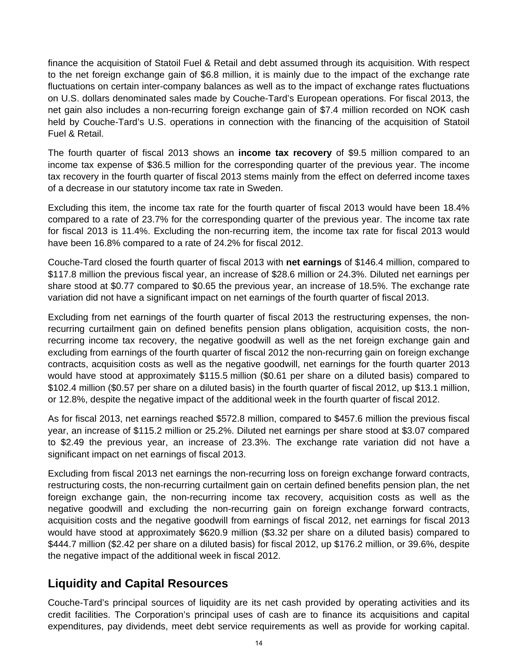finance the acquisition of Statoil Fuel & Retail and debt assumed through its acquisition. With respect to the net foreign exchange gain of \$6.8 million, it is mainly due to the impact of the exchange rate fluctuations on certain inter-company balances as well as to the impact of exchange rates fluctuations on U.S. dollars denominated sales made by Couche-Tard's European operations. For fiscal 2013, the net gain also includes a non-recurring foreign exchange gain of \$7.4 million recorded on NOK cash held by Couche-Tard's U.S. operations in connection with the financing of the acquisition of Statoil Fuel & Retail.

The fourth quarter of fiscal 2013 shows an **income tax recovery** of \$9.5 million compared to an income tax expense of \$36.5 million for the corresponding quarter of the previous year. The income tax recovery in the fourth quarter of fiscal 2013 stems mainly from the effect on deferred income taxes of a decrease in our statutory income tax rate in Sweden.

Excluding this item, the income tax rate for the fourth quarter of fiscal 2013 would have been 18.4% compared to a rate of 23.7% for the corresponding quarter of the previous year. The income tax rate for fiscal 2013 is 11.4%. Excluding the non-recurring item, the income tax rate for fiscal 2013 would have been 16.8% compared to a rate of 24.2% for fiscal 2012.

Couche-Tard closed the fourth quarter of fiscal 2013 with **net earnings** of \$146.4 million, compared to \$117.8 million the previous fiscal year, an increase of \$28.6 million or 24.3%. Diluted net earnings per share stood at \$0.77 compared to \$0.65 the previous year, an increase of 18.5%. The exchange rate variation did not have a significant impact on net earnings of the fourth quarter of fiscal 2013.

Excluding from net earnings of the fourth quarter of fiscal 2013 the restructuring expenses, the nonrecurring curtailment gain on defined benefits pension plans obligation, acquisition costs, the nonrecurring income tax recovery, the negative goodwill as well as the net foreign exchange gain and excluding from earnings of the fourth quarter of fiscal 2012 the non-recurring gain on foreign exchange contracts, acquisition costs as well as the negative goodwill, net earnings for the fourth quarter 2013 would have stood at approximately \$115.5 million (\$0.61 per share on a diluted basis) compared to \$102.4 million (\$0.57 per share on a diluted basis) in the fourth quarter of fiscal 2012, up \$13.1 million, or 12.8%, despite the negative impact of the additional week in the fourth quarter of fiscal 2012.

As for fiscal 2013, net earnings reached \$572.8 million, compared to \$457.6 million the previous fiscal year, an increase of \$115.2 million or 25.2%. Diluted net earnings per share stood at \$3.07 compared to \$2.49 the previous year, an increase of 23.3%. The exchange rate variation did not have a significant impact on net earnings of fiscal 2013.

Excluding from fiscal 2013 net earnings the non-recurring loss on foreign exchange forward contracts, restructuring costs, the non-recurring curtailment gain on certain defined benefits pension plan, the net foreign exchange gain, the non-recurring income tax recovery, acquisition costs as well as the negative goodwill and excluding the non-recurring gain on foreign exchange forward contracts, acquisition costs and the negative goodwill from earnings of fiscal 2012, net earnings for fiscal 2013 would have stood at approximately \$620.9 million (\$3.32 per share on a diluted basis) compared to \$444.7 million (\$2.42 per share on a diluted basis) for fiscal 2012, up \$176.2 million, or 39.6%, despite the negative impact of the additional week in fiscal 2012.

# **Liquidity and Capital Resources**

Couche-Tard's principal sources of liquidity are its net cash provided by operating activities and its credit facilities. The Corporation's principal uses of cash are to finance its acquisitions and capital expenditures, pay dividends, meet debt service requirements as well as provide for working capital.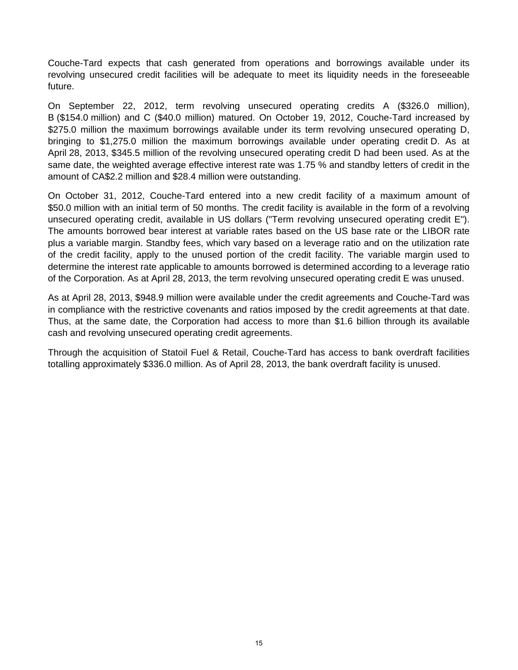Couche-Tard expects that cash generated from operations and borrowings available under its revolving unsecured credit facilities will be adequate to meet its liquidity needs in the foreseeable future.

On September 22, 2012, term revolving unsecured operating credits A (\$326.0 million), B (\$154.0 million) and C (\$40.0 million) matured. On October 19, 2012, Couche-Tard increased by \$275.0 million the maximum borrowings available under its term revolving unsecured operating D, bringing to \$1,275.0 million the maximum borrowings available under operating credit D. As at April 28, 2013, \$345.5 million of the revolving unsecured operating credit D had been used. As at the same date, the weighted average effective interest rate was 1.75 % and standby letters of credit in the amount of CA\$2.2 million and \$28.4 million were outstanding.

On October 31, 2012, Couche-Tard entered into a new credit facility of a maximum amount of \$50.0 million with an initial term of 50 months. The credit facility is available in the form of a revolving unsecured operating credit, available in US dollars ("Term revolving unsecured operating credit E"). The amounts borrowed bear interest at variable rates based on the US base rate or the LIBOR rate plus a variable margin. Standby fees, which vary based on a leverage ratio and on the utilization rate of the credit facility, apply to the unused portion of the credit facility. The variable margin used to determine the interest rate applicable to amounts borrowed is determined according to a leverage ratio of the Corporation. As at April 28, 2013, the term revolving unsecured operating credit E was unused.

As at April 28, 2013, \$948.9 million were available under the credit agreements and Couche-Tard was in compliance with the restrictive covenants and ratios imposed by the credit agreements at that date. Thus, at the same date, the Corporation had access to more than \$1.6 billion through its available cash and revolving unsecured operating credit agreements.

Through the acquisition of Statoil Fuel & Retail, Couche-Tard has access to bank overdraft facilities totalling approximately \$336.0 million. As of April 28, 2013, the bank overdraft facility is unused.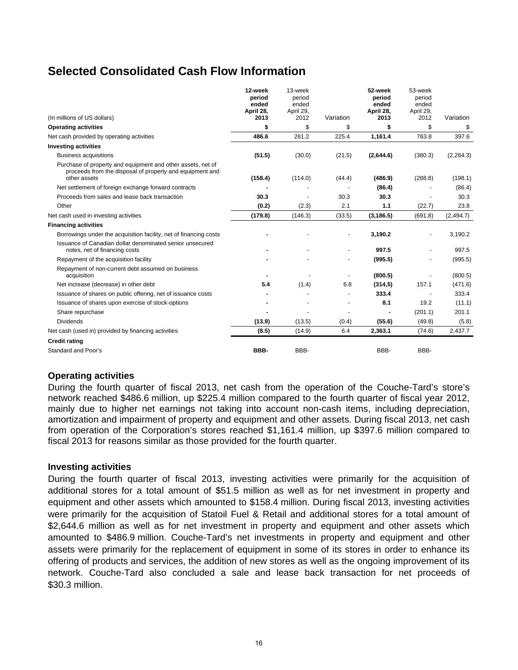# **Selected Consolidated Cash Flow Information**

| (In millions of US dollars)                                                                                                             | 12-week<br>period<br>ended<br>April 28,<br>2013 | 13-week<br>period<br>ended<br>April 29,<br>2012 | Variation | 52-week<br>period<br>ended<br>April 28,<br>2013 | 53-week<br>period<br>ended<br>April 29,<br>2012 | Variation  |
|-----------------------------------------------------------------------------------------------------------------------------------------|-------------------------------------------------|-------------------------------------------------|-----------|-------------------------------------------------|-------------------------------------------------|------------|
| <b>Operating activities</b>                                                                                                             | \$                                              | \$                                              | \$        | \$                                              | \$                                              | \$         |
| Net cash provided by operating activities                                                                                               | 486.6                                           | 261.2                                           | 225.4     | 1,161.4                                         | 763.8                                           | 397.6      |
| <b>Investing activities</b>                                                                                                             |                                                 |                                                 |           |                                                 |                                                 |            |
| <b>Business acquisitions</b>                                                                                                            | (51.5)                                          | (30.0)                                          | (21.5)    | (2,644.6)                                       | (380.3)                                         | (2,264.3)  |
| Purchase of property and equipment and other assets, net of<br>proceeds from the disposal of property and equipment and<br>other assets | (158.4)                                         | (114.0)                                         | (44.4)    | (486.9)                                         | (288.8)                                         | (198.1)    |
| Net settlement of foreign exchange forward contracts                                                                                    |                                                 |                                                 |           | (86.4)                                          |                                                 | (86.4)     |
| Proceeds from sales and lease back transaction                                                                                          | 30.3                                            |                                                 | 30.3      | 30.3                                            |                                                 | 30.3       |
| Other                                                                                                                                   | (0.2)                                           | (2.3)                                           | 2.1       | 1.1                                             | (22.7)                                          | 23.8       |
| Net cash used in investing activities                                                                                                   | (179.8)                                         | (146.3)                                         | (33.5)    | (3, 186.5)                                      | (691.8)                                         | (2, 494.7) |
| <b>Financing activities</b>                                                                                                             |                                                 |                                                 |           |                                                 |                                                 |            |
| Borrowings under the acquisition facility, net of financing costs                                                                       |                                                 |                                                 |           | 3,190.2                                         |                                                 | 3,190.2    |
| Issuance of Canadian dollar denominated senior unsecured<br>notes, net of financing costs                                               |                                                 |                                                 |           | 997.5                                           |                                                 | 997.5      |
| Repayment of the acquisition facility                                                                                                   |                                                 |                                                 |           | (995.5)                                         |                                                 | (995.5)    |
| Repayment of non-current debt assumed on business<br>acquisition                                                                        |                                                 |                                                 |           | (800.5)                                         |                                                 | (800.5)    |
| Net increase (decrease) in other debt                                                                                                   | 5.4                                             | (1.4)                                           | 6.8       | (314,5)                                         | 157.1                                           | (471.6)    |
| Issuance of shares on public offering, net of issuance costs                                                                            |                                                 |                                                 |           | 333.4                                           |                                                 | 333.4      |
| Issuance of shares upon exercise of stock-options                                                                                       |                                                 |                                                 |           | 8.1                                             | 19.2                                            | (11.1)     |
| Share repurchase                                                                                                                        |                                                 |                                                 |           |                                                 | (201.1)                                         | 201.1      |
| <b>Dividends</b>                                                                                                                        | (13.9)                                          | (13.5)                                          | (0.4)     | (55.6)                                          | (49.8)                                          | (5.8)      |
| Net cash (used in) provided by financing activities                                                                                     | (8.5)                                           | (14.9)                                          | 6.4       | 2,363.1                                         | (74.6)                                          | 2,437.7    |
| <b>Credit rating</b>                                                                                                                    |                                                 |                                                 |           |                                                 |                                                 |            |
| Standard and Poor's                                                                                                                     | BBB-                                            | BBB-                                            |           | BBB-                                            | BBB-                                            |            |

### **Operating activities**

During the fourth quarter of fiscal 2013, net cash from the operation of the Couche-Tard's store's network reached \$486.6 million, up \$225.4 million compared to the fourth quarter of fiscal year 2012, mainly due to higher net earnings not taking into account non-cash items, including depreciation, amortization and impairment of property and equipment and other assets. During fiscal 2013, net cash from operation of the Corporation's stores reached \$1,161.4 million, up \$397.6 million compared to fiscal 2013 for reasons similar as those provided for the fourth quarter.

### **Investing activities**

During the fourth quarter of fiscal 2013, investing activities were primarily for the acquisition of additional stores for a total amount of \$51.5 million as well as for net investment in property and equipment and other assets which amounted to \$158.4 million. During fiscal 2013, investing activities were primarily for the acquisition of Statoil Fuel & Retail and additional stores for a total amount of \$2,644.6 million as well as for net investment in property and equipment and other assets which amounted to \$486.9 million. Couche-Tard's net investments in property and equipment and other assets were primarily for the replacement of equipment in some of its stores in order to enhance its offering of products and services, the addition of new stores as well as the ongoing improvement of its network. Couche-Tard also concluded a sale and lease back transaction for net proceeds of \$30.3 million.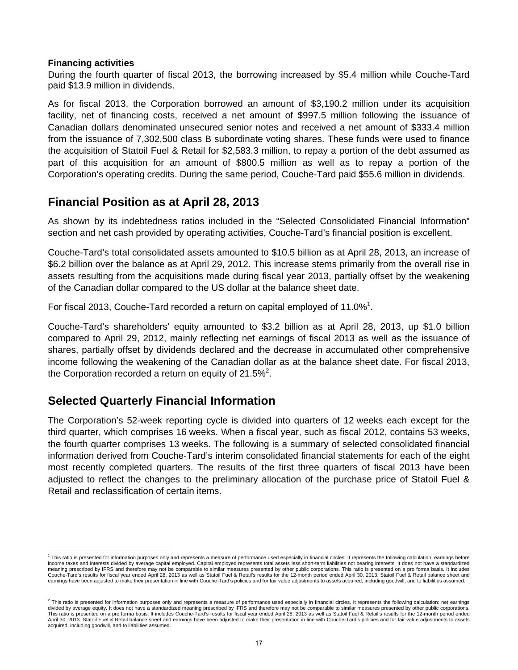### **Financing activities**

 $\overline{a}$ 

During the fourth quarter of fiscal 2013, the borrowing increased by \$5.4 million while Couche-Tard paid \$13.9 million in dividends.

As for fiscal 2013, the Corporation borrowed an amount of \$3,190.2 million under its acquisition facility, net of financing costs, received a net amount of \$997.5 million following the issuance of Canadian dollars denominated unsecured senior notes and received a net amount of \$333.4 million from the issuance of 7,302,500 class B subordinate voting shares. These funds were used to finance the acquisition of Statoil Fuel & Retail for \$2,583.3 million, to repay a portion of the debt assumed as part of this acquisition for an amount of \$800.5 million as well as to repay a portion of the Corporation's operating credits. During the same period, Couche-Tard paid \$55.6 million in dividends.

# **Financial Position as at April 28, 2013**

As shown by its indebtedness ratios included in the "Selected Consolidated Financial Information" section and net cash provided by operating activities, Couche-Tard's financial position is excellent.

Couche-Tard's total consolidated assets amounted to \$10.5 billion as at April 28, 2013, an increase of \$6.2 billion over the balance as at April 29, 2012. This increase stems primarily from the overall rise in assets resulting from the acquisitions made during fiscal year 2013, partially offset by the weakening of the Canadian dollar compared to the US dollar at the balance sheet date.

For fiscal 2013, Couche-Tard recorded a return on capital employed of 11.0%<sup>1</sup>.

Couche-Tard's shareholders' equity amounted to \$3.2 billion as at April 28, 2013, up \$1.0 billion compared to April 29, 2012, mainly reflecting net earnings of fiscal 2013 as well as the issuance of shares, partially offset by dividends declared and the decrease in accumulated other comprehensive income following the weakening of the Canadian dollar as at the balance sheet date. For fiscal 2013, the Corporation recorded a return on equity of 21.5%<sup>2</sup>.

# **Selected Quarterly Financial Information**

The Corporation's 52-week reporting cycle is divided into quarters of 12 weeks each except for the third quarter, which comprises 16 weeks. When a fiscal year, such as fiscal 2012, contains 53 weeks, the fourth quarter comprises 13 weeks. The following is a summary of selected consolidated financial information derived from Couche-Tard's interim consolidated financial statements for each of the eight most recently completed quarters. The results of the first three quarters of fiscal 2013 have been adjusted to reflect the changes to the preliminary allocation of the purchase price of Statoil Fuel & Retail and reclassification of certain items.

<sup>&</sup>lt;sup>1</sup> This ratio is presented for information purposes only and represents a measure of performance used especially in financial circles. It represents the following calculation: earnings before income taxes and interests divided by average capital employed. Capital employed represents total assets less short-term liabilities not bearing interests. It does not have a standardized meaning prescribed by IFRS and therefore may not be comparable to similar measures presented by other public corporations. This ratio is presented on a pro forma basis. It includes Couche-Tard's results for fiscal year ended April 28, 2013 as well as Statoil Fuel & Retail's results for the 12-month period ended April 30, 2013. Statoil Fuel & Retail balance sheet and earnings have been adjusted to make their presentation in line with Couche-Tard's policies and for fair value adjustments to assets acquired, including goodwill, and to liabilities assumed.

 $^2$  This ratio is presented for information purposes only and represents a measure of performance used especially in financial circles. It represents the following calculation: net earnings divided by average equity. It does not have a standardized meaning prescribed by IFRS and therefore may not be comparable to similar measures presented by other public corporations. This ratio is presented on a pro forma basis. It includes Couche-Tard's results for fiscal year ended April 28, 2013 as well as Statoil Fuel & Retail's results for the 12-month period ended April 30, 2013. Statoil Fuel & Retail balance sheet and earnings have been adjusted to make their presentation in line with Couche-Tard's policies and for fair value adjustments to assets acquired, including goodwill, and to liabilities assumed.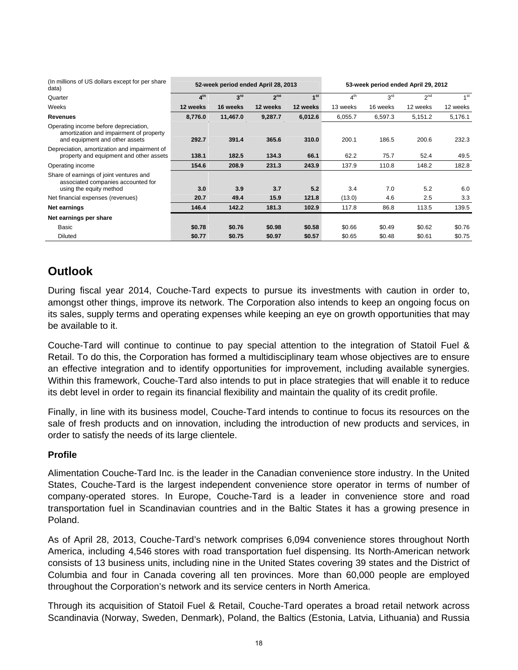| (In millions of US dollars except for per share<br>data)                                                           | 52-week period ended April 28, 2013 |                 |                 | 53-week period ended April 29, 2012 |                 |                 |                 |                 |
|--------------------------------------------------------------------------------------------------------------------|-------------------------------------|-----------------|-----------------|-------------------------------------|-----------------|-----------------|-----------------|-----------------|
| Quarter                                                                                                            | 4 <sup>th</sup>                     | 3 <sup>rd</sup> | 2 <sup>nd</sup> | 4 <sub>st</sub>                     | 4 <sup>th</sup> | 3 <sup>rd</sup> | 2 <sup>nd</sup> | 1 <sup>st</sup> |
| Weeks                                                                                                              | 12 weeks                            | 16 weeks        | 12 weeks        | 12 weeks                            | 13 weeks        | 16 weeks        | 12 weeks        | 12 weeks        |
| <b>Revenues</b>                                                                                                    | 8,776.0                             | 11,467.0        | 9,287.7         | 6,012.6                             | 6,055.7         | 6,597.3         | 5,151.2         | 5,176.1         |
| Operating income before depreciation,<br>amortization and impairment of property<br>and equipment and other assets | 292.7                               | 391.4           | 365.6           | 310.0                               | 200.1           | 186.5           | 200.6           | 232.3           |
| Depreciation, amortization and impairment of<br>property and equipment and other assets                            | 138.1                               | 182.5           | 134.3           | 66.1                                | 62.2            | 75.7            | 52.4            | 49.5            |
| Operating income                                                                                                   | 154.6                               | 208.9           | 231.3           | 243.9                               | 137.9           | 110.8           | 148.2           | 182.8           |
| Share of earnings of joint ventures and<br>associated companies accounted for<br>using the equity method           | 3.0                                 | 3.9             | 3.7             | 5.2                                 | 3.4             | 7.0             | 5.2             | 6.0             |
| Net financial expenses (revenues)                                                                                  | 20.7                                | 49.4            | 15.9            | 121.8                               | (13.0)          | 4.6             | 2.5             | 3.3             |
| Net earnings                                                                                                       | 146.4                               | 142.2           | 181.3           | 102.9                               | 117.8           | 86.8            | 113.5           | 139.5           |
| Net earnings per share                                                                                             |                                     |                 |                 |                                     |                 |                 |                 |                 |
| <b>Basic</b>                                                                                                       | \$0.78                              | \$0.76          | \$0.98          | \$0.58                              | \$0.66          | \$0.49          | \$0.62          | \$0.76          |
| <b>Diluted</b>                                                                                                     | \$0.77                              | \$0.75          | \$0.97          | \$0.57                              | \$0.65          | \$0.48          | \$0.61          | \$0.75          |

# **Outlook**

During fiscal year 2014, Couche-Tard expects to pursue its investments with caution in order to, amongst other things, improve its network. The Corporation also intends to keep an ongoing focus on its sales, supply terms and operating expenses while keeping an eye on growth opportunities that may be available to it.

Couche-Tard will continue to continue to pay special attention to the integration of Statoil Fuel & Retail. To do this, the Corporation has formed a multidisciplinary team whose objectives are to ensure an effective integration and to identify opportunities for improvement, including available synergies. Within this framework, Couche-Tard also intends to put in place strategies that will enable it to reduce its debt level in order to regain its financial flexibility and maintain the quality of its credit profile.

Finally, in line with its business model, Couche-Tard intends to continue to focus its resources on the sale of fresh products and on innovation, including the introduction of new products and services, in order to satisfy the needs of its large clientele.

## **Profile**

Alimentation Couche-Tard Inc. is the leader in the Canadian convenience store industry. In the United States, Couche-Tard is the largest independent convenience store operator in terms of number of company-operated stores. In Europe, Couche-Tard is a leader in convenience store and road transportation fuel in Scandinavian countries and in the Baltic States it has a growing presence in Poland.

As of April 28, 2013, Couche-Tard's network comprises 6,094 convenience stores throughout North America, including 4,546 stores with road transportation fuel dispensing. Its North-American network consists of 13 business units, including nine in the United States covering 39 states and the District of Columbia and four in Canada covering all ten provinces. More than 60,000 people are employed throughout the Corporation's network and its service centers in North America.

Through its acquisition of Statoil Fuel & Retail, Couche-Tard operates a broad retail network across Scandinavia (Norway, Sweden, Denmark), Poland, the Baltics (Estonia, Latvia, Lithuania) and Russia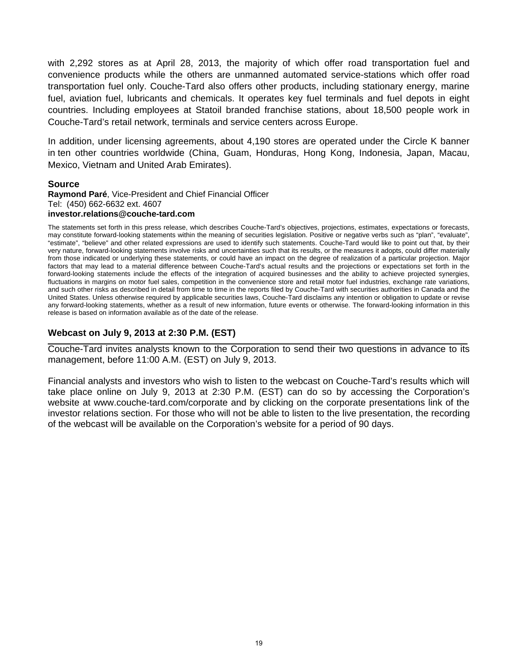with 2,292 stores as at April 28, 2013, the majority of which offer road transportation fuel and convenience products while the others are unmanned automated service-stations which offer road transportation fuel only. Couche-Tard also offers other products, including stationary energy, marine fuel, aviation fuel, lubricants and chemicals. It operates key fuel terminals and fuel depots in eight countries. Including employees at Statoil branded franchise stations, about 18,500 people work in Couche-Tard's retail network, terminals and service centers across Europe.

In addition, under licensing agreements, about 4,190 stores are operated under the Circle K banner in ten other countries worldwide (China, Guam, Honduras, Hong Kong, Indonesia, Japan, Macau, Mexico, Vietnam and United Arab Emirates).

### **Source**

**Raymond Paré**, Vice-President and Chief Financial Officer Tel: (450) 662-6632 ext. 4607

### **investor.relations@couche-tard.com**

The statements set forth in this press release, which describes Couche-Tard's objectives, projections, estimates, expectations or forecasts, may constitute forward-looking statements within the meaning of securities legislation. Positive or negative verbs such as "plan", "evaluate", "estimate", "believe" and other related expressions are used to identify such statements. Couche-Tard would like to point out that, by their very nature, forward-looking statements involve risks and uncertainties such that its results, or the measures it adopts, could differ materially from those indicated or underlying these statements, or could have an impact on the degree of realization of a particular projection. Major factors that may lead to a material difference between Couche-Tard's actual results and the projections or expectations set forth in the forward-looking statements include the effects of the integration of acquired businesses and the ability to achieve projected synergies, fluctuations in margins on motor fuel sales, competition in the convenience store and retail motor fuel industries, exchange rate variations, and such other risks as described in detail from time to time in the reports filed by Couche-Tard with securities authorities in Canada and the United States. Unless otherwise required by applicable securities laws, Couche-Tard disclaims any intention or obligation to update or revise any forward-looking statements, whether as a result of new information, future events or otherwise. The forward-looking information in this release is based on information available as of the date of the release.

### **Webcast on July 9, 2013 at 2:30 P.M. (EST)**

Couche-Tard invites analysts known to the Corporation to send their two questions in advance to its management, before 11:00 A.M. (EST) on July 9, 2013.

Financial analysts and investors who wish to listen to the webcast on Couche-Tard's results which will take place online on July 9, 2013 at 2:30 P.M. (EST) can do so by accessing the Corporation's website at www.couche-tard.com/corporate and by clicking on the corporate presentations link of the investor relations section. For those who will not be able to listen to the live presentation, the recording of the webcast will be available on the Corporation's website for a period of 90 days.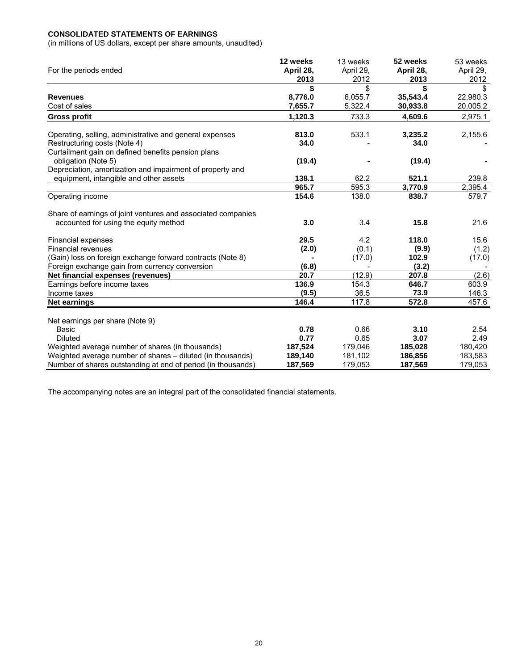### **CONSOLIDATED STATEMENTS OF EARNINGS**

(in millions of US dollars, except per share amounts, unaudited)

| 13 weeks<br>April 28,<br>April 29,                                                                                                                                    | For the periods ended                                                                                                                                                                                                                                                                                                                                                                      | 52 weeks<br>April 28,                                                                     | 53 weeks<br>April 29, |
|-----------------------------------------------------------------------------------------------------------------------------------------------------------------------|--------------------------------------------------------------------------------------------------------------------------------------------------------------------------------------------------------------------------------------------------------------------------------------------------------------------------------------------------------------------------------------------|-------------------------------------------------------------------------------------------|-----------------------|
| 2013<br>2012                                                                                                                                                          |                                                                                                                                                                                                                                                                                                                                                                                            | 2013                                                                                      | 2012                  |
| \$<br>\$                                                                                                                                                              |                                                                                                                                                                                                                                                                                                                                                                                            | \$                                                                                        | \$                    |
| 6,055.7<br>8,776.0                                                                                                                                                    | <b>Revenues</b>                                                                                                                                                                                                                                                                                                                                                                            | 35,543.4                                                                                  | 22,980.3              |
| 7,655.7<br>5,322.4                                                                                                                                                    | Cost of sales                                                                                                                                                                                                                                                                                                                                                                              | 30,933.8                                                                                  | 20,005.2              |
| 1,120.3<br>733.3                                                                                                                                                      | <b>Gross profit</b>                                                                                                                                                                                                                                                                                                                                                                        | 4,609.6                                                                                   | 2,975.1               |
| 533.1<br>813.0                                                                                                                                                        | Operating, selling, administrative and general expenses                                                                                                                                                                                                                                                                                                                                    | 3,235.2                                                                                   | 2,155.6               |
| 34.0                                                                                                                                                                  | Restructuring costs (Note 4)                                                                                                                                                                                                                                                                                                                                                               | 34.0                                                                                      |                       |
|                                                                                                                                                                       | Curtailment gain on defined benefits pension plans                                                                                                                                                                                                                                                                                                                                         |                                                                                           |                       |
| (19.4)                                                                                                                                                                | obligation (Note 5)<br>Depreciation, amortization and impairment of property and                                                                                                                                                                                                                                                                                                           | (19.4)                                                                                    |                       |
| 62.2<br>138.1                                                                                                                                                         | equipment, intangible and other assets                                                                                                                                                                                                                                                                                                                                                     | 521.1                                                                                     | 239.8                 |
| 965.7<br>595.3                                                                                                                                                        |                                                                                                                                                                                                                                                                                                                                                                                            | 3,770.9                                                                                   | 2,395.4               |
| 154.6<br>138.0                                                                                                                                                        | Operating income                                                                                                                                                                                                                                                                                                                                                                           | 838.7                                                                                     | 579.7                 |
|                                                                                                                                                                       | Share of earnings of joint ventures and associated companies                                                                                                                                                                                                                                                                                                                               |                                                                                           |                       |
| 3.0<br>3.4                                                                                                                                                            | accounted for using the equity method                                                                                                                                                                                                                                                                                                                                                      | 15.8                                                                                      | 21.6                  |
| 29.5<br>4.2                                                                                                                                                           | Financial expenses                                                                                                                                                                                                                                                                                                                                                                         | 118.0                                                                                     | 15.6                  |
| (2.0)<br>(0.1)                                                                                                                                                        | <b>Financial revenues</b>                                                                                                                                                                                                                                                                                                                                                                  | (9.9)                                                                                     | (1.2)                 |
| (17.0)                                                                                                                                                                | (Gain) loss on foreign exchange forward contracts (Note 8)                                                                                                                                                                                                                                                                                                                                 | 102.9                                                                                     | (17.0)                |
| (6.8)                                                                                                                                                                 |                                                                                                                                                                                                                                                                                                                                                                                            |                                                                                           |                       |
|                                                                                                                                                                       |                                                                                                                                                                                                                                                                                                                                                                                            |                                                                                           | (2.6)                 |
|                                                                                                                                                                       |                                                                                                                                                                                                                                                                                                                                                                                            |                                                                                           | 603.9                 |
|                                                                                                                                                                       |                                                                                                                                                                                                                                                                                                                                                                                            |                                                                                           | 146.3                 |
|                                                                                                                                                                       |                                                                                                                                                                                                                                                                                                                                                                                            |                                                                                           | 457.6                 |
|                                                                                                                                                                       |                                                                                                                                                                                                                                                                                                                                                                                            |                                                                                           |                       |
|                                                                                                                                                                       |                                                                                                                                                                                                                                                                                                                                                                                            |                                                                                           |                       |
|                                                                                                                                                                       |                                                                                                                                                                                                                                                                                                                                                                                            |                                                                                           | 2.54<br>2.49          |
|                                                                                                                                                                       |                                                                                                                                                                                                                                                                                                                                                                                            |                                                                                           |                       |
|                                                                                                                                                                       |                                                                                                                                                                                                                                                                                                                                                                                            |                                                                                           |                       |
|                                                                                                                                                                       |                                                                                                                                                                                                                                                                                                                                                                                            |                                                                                           | 179,053               |
| 20.7<br>(12.9)<br>136.9<br>154.3<br>36.5<br>(9.5)<br>117.8<br>146.4<br>0.78<br>0.66<br>0.77<br>0.65<br>187,524<br>179,046<br>189,140<br>181,102<br>187,569<br>179,053 | Foreign exchange gain from currency conversion<br>Net financial expenses (revenues)<br>Earnings before income taxes<br>Income taxes<br>Net earnings<br>Net earnings per share (Note 9)<br><b>Diluted</b><br>Weighted average number of shares (in thousands)<br>Weighted average number of shares - diluted (in thousands)<br>Number of shares outstanding at end of period (in thousands) | (3.2)<br>207.8<br>646.7<br>73.9<br>572.8<br>3.10<br>3.07<br>185,028<br>186,856<br>187,569 | 180,420<br>183,583    |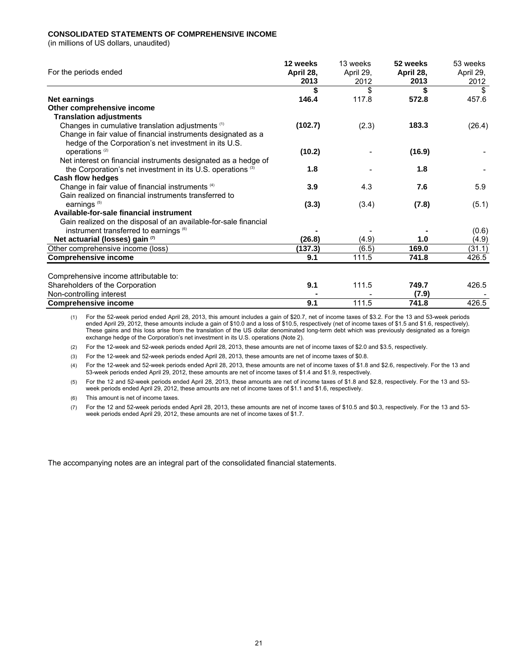#### **CONSOLIDATED STATEMENTS OF COMPREHENSIVE INCOME**

(in millions of US dollars, unaudited)

| For the periods ended                                                  | 12 weeks<br>April 28,<br>2013 | 13 weeks<br>April 29,<br>2012 | 52 weeks<br>April 28,<br>2013 | 53 weeks<br>April 29,<br>2012 |
|------------------------------------------------------------------------|-------------------------------|-------------------------------|-------------------------------|-------------------------------|
|                                                                        | \$                            | \$                            |                               | \$                            |
| <b>Net earnings</b>                                                    | 146.4                         | 117.8                         | 572.8                         | 457.6                         |
| Other comprehensive income                                             |                               |                               |                               |                               |
| <b>Translation adjustments</b>                                         |                               |                               |                               |                               |
| Changes in cumulative translation adjustments (1)                      | (102.7)                       | (2.3)                         | 183.3                         | (26.4)                        |
| Change in fair value of financial instruments designated as a          |                               |                               |                               |                               |
| hedge of the Corporation's net investment in its U.S.                  |                               |                               |                               |                               |
| operations <sup>(2)</sup>                                              | (10.2)                        |                               | (16.9)                        |                               |
| Net interest on financial instruments designated as a hedge of         |                               |                               |                               |                               |
| the Corporation's net investment in its U.S. operations <sup>(3)</sup> | 1.8                           |                               | 1.8                           |                               |
| Cash flow hedges                                                       |                               |                               |                               |                               |
| Change in fair value of financial instruments (4)                      | 3.9                           | 4.3                           | 7.6                           | 5.9                           |
| Gain realized on financial instruments transferred to                  |                               |                               |                               |                               |
| earnings <sup>(5)</sup>                                                | (3.3)                         | (3.4)                         | (7.8)                         | (5.1)                         |
| Available-for-sale financial instrument                                |                               |                               |                               |                               |
| Gain realized on the disposal of an available-for-sale financial       |                               |                               |                               |                               |
| instrument transferred to earnings (6)                                 |                               |                               |                               | (0.6)                         |
| Net actuarial (losses) gain (7)                                        | (26.8)                        | (4.9)                         | 1.0                           | (4.9)                         |
| Other comprehensive income (loss)                                      | (137.3)                       | (6.5)                         | 169.0                         | (31.1)                        |
| <b>Comprehensive income</b>                                            | 9.1                           | 111.5                         | 741.8                         | 426.5                         |
| Comprehensive income attributable to:                                  |                               |                               |                               |                               |
| Shareholders of the Corporation                                        | 9.1                           | 111.5                         | 749.7                         | 426.5                         |
| Non-controlling interest                                               |                               |                               | (7.9)                         |                               |
| <b>Comprehensive income</b>                                            | 9.1                           | 111.5                         | 741.8                         | 426.5                         |

(1) For the 52-week period ended April 28, 2013, this amount includes a gain of \$20.7, net of income taxes of \$3.2. For the 13 and 53-week periods ended April 29, 2012, these amounts include a gain of \$10.0 and a loss of \$10.5, respectively (net of income taxes of \$1.5 and \$1.6, respectively). These gains and this loss arise from the translation of the US dollar denominated long-term debt which was previously designated as a foreign exchange hedge of the Corporation's net investment in its U.S. operations (Note 2).

(2) For the 12-week and 52-week periods ended April 28, 2013, these amounts are net of income taxes of \$2.0 and \$3.5, respectively.

(3) For the 12-week and 52-week periods ended April 28, 2013, these amounts are net of income taxes of \$0.8.

(4) For the 12-week and 52-week periods ended April 28, 2013, these amounts are net of income taxes of \$1.8 and \$2.6, respectively. For the 13 and 53-week periods ended April 29, 2012, these amounts are net of income taxes of \$1.4 and \$1.9, respectively.

(5) For the 12 and 52-week periods ended April 28, 2013, these amounts are net of income taxes of \$1.8 and \$2.8, respectively. For the 13 and 53 week periods ended April 29, 2012, these amounts are net of income taxes of \$1.1 and \$1.6, respectively.

(6) This amount is net of income taxes.

(7) For the 12 and 52-week periods ended April 28, 2013, these amounts are net of income taxes of \$10.5 and \$0.3, respectively. For the 13 and 53 week periods ended April 29, 2012, these amounts are net of income taxes of \$1.7.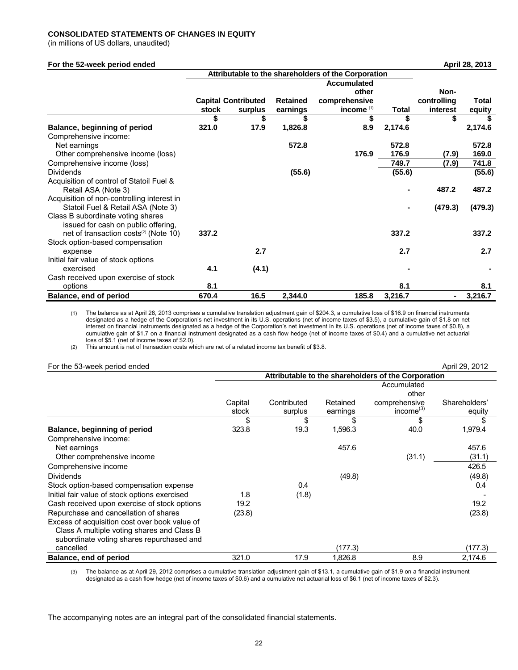### **CONSOLIDATED STATEMENTS OF CHANGES IN EQUITY**

(in millions of US dollars, unaudited)

**For the 52-week period ended April 28, 2013 April 28, 2013 Attributable to the shareholders of the Corporation Accumulated other Non-**

|                                            | <b>Capital Contributed</b> |         | <b>Retained</b><br>comprehensive |              |         | controlling |         |
|--------------------------------------------|----------------------------|---------|----------------------------------|--------------|---------|-------------|---------|
|                                            | stock                      | surplus | earnings                         | income $(1)$ | Total   | interest    | equity  |
|                                            | \$                         | \$      |                                  | \$           | \$      | \$          |         |
| Balance, beginning of period               | 321.0                      | 17.9    | 1,826.8                          | 8.9          | 2,174.6 |             | 2,174.6 |
| Comprehensive income:                      |                            |         |                                  |              |         |             |         |
| Net earnings                               |                            |         | 572.8                            |              | 572.8   |             | 572.8   |
| Other comprehensive income (loss)          |                            |         |                                  | 176.9        | 176.9   | (7.9)       | 169.0   |
| Comprehensive income (loss)                |                            |         |                                  |              | 749.7   | (7.9)       | 741.8   |
| <b>Dividends</b>                           |                            |         | (55.6)                           |              | (55.6)  |             | (55.6)  |
| Acquisition of control of Statoil Fuel &   |                            |         |                                  |              |         |             |         |
| Retail ASA (Note 3)                        |                            |         |                                  |              |         | 487.2       | 487.2   |
| Acquisition of non-controlling interest in |                            |         |                                  |              |         |             |         |
| Statoil Fuel & Retail ASA (Note 3)         |                            |         |                                  |              |         | (479.3)     | (479.3) |
| Class B subordinate voting shares          |                            |         |                                  |              |         |             |         |
| issued for cash on public offering,        |                            |         |                                  |              |         |             |         |
| net of transaction costs $(2)$ (Note 10)   | 337.2                      |         |                                  |              | 337.2   |             | 337.2   |
| Stock option-based compensation            |                            |         |                                  |              |         |             |         |
| expense                                    |                            | 2.7     |                                  |              | 2.7     |             | 2.7     |
| Initial fair value of stock options        |                            |         |                                  |              |         |             |         |
| exercised                                  | 4.1                        | (4.1)   |                                  |              |         |             |         |
| Cash received upon exercise of stock       |                            |         |                                  |              |         |             |         |
| options                                    | 8.1                        |         |                                  |              | 8.1     |             | 8.1     |
| Balance, end of period                     | 670.4                      | 16.5    | 2,344.0                          | 185.8        | 3,216.7 |             | 3,216.7 |

(1) The balance as at April 28, 2013 comprises a cumulative translation adjustment gain of \$204.3, a cumulative loss of \$16.9 on financial instruments designated as a hedge of the Corporation's net investment in its U.S. operations (net of income taxes of \$3.5), a cumulative gain of \$1.8 on net interest on financial instruments designated as a hedge of the Corporation's net investment in its U.S. operations (net of income taxes of \$0.8), a cumulative gain of \$1.7 on a financial instrument designated as a cash flow hedge (net of income taxes of \$0.4) and a cumulative net actuarial loss of \$5.1 (net of income taxes of \$2.0).

(2) This amount is net of transaction costs which are net of a related income tax benefit of \$3.8.

#### For the 53-week period ended April 29, 2012

|                                               | Attributable to the shareholders of the Corporation |             |          |                 |               |  |  |
|-----------------------------------------------|-----------------------------------------------------|-------------|----------|-----------------|---------------|--|--|
|                                               | Accumulated                                         |             |          |                 |               |  |  |
|                                               |                                                     |             |          | other           |               |  |  |
|                                               | Capital                                             | Contributed | Retained | comprehensive   | Shareholders' |  |  |
|                                               | stock                                               | surplus     | earnings | income $^{(3)}$ | equity        |  |  |
|                                               | \$                                                  | \$          | \$       | \$              | \$            |  |  |
| Balance, beginning of period                  | 323.8                                               | 19.3        | 1,596.3  | 40.0            | 1,979.4       |  |  |
| Comprehensive income:                         |                                                     |             |          |                 |               |  |  |
| Net earnings                                  |                                                     |             | 457.6    |                 | 457.6         |  |  |
| Other comprehensive income                    |                                                     |             |          | (31.1)          | (31.1)        |  |  |
| Comprehensive income                          |                                                     |             |          |                 | 426.5         |  |  |
| <b>Dividends</b>                              |                                                     |             | (49.8)   |                 | (49.8)        |  |  |
| Stock option-based compensation expense       |                                                     | 0.4         |          |                 | 0.4           |  |  |
| Initial fair value of stock options exercised | 1.8                                                 | (1.8)       |          |                 |               |  |  |
| Cash received upon exercise of stock options  | 19.2                                                |             |          |                 | 19.2          |  |  |
| Repurchase and cancellation of shares         | (23.8)                                              |             |          |                 | (23.8)        |  |  |
| Excess of acquisition cost over book value of |                                                     |             |          |                 |               |  |  |
| Class A multiple voting shares and Class B    |                                                     |             |          |                 |               |  |  |
| subordinate voting shares repurchased and     |                                                     |             |          |                 |               |  |  |
| cancelled                                     |                                                     |             | (177.3)  |                 | (177.3)       |  |  |
| Balance, end of period                        | 321.0                                               | 17.9        | 1,826.8  | 8.9             | 2,174.6       |  |  |

(3) The balance as at April 29, 2012 comprises a cumulative translation adjustment gain of \$13.1, a cumulative gain of \$1.9 on a financial instrument designated as a cash flow hedge (net of income taxes of \$0.6) and a cumulative net actuarial loss of \$6.1 (net of income taxes of \$2.3).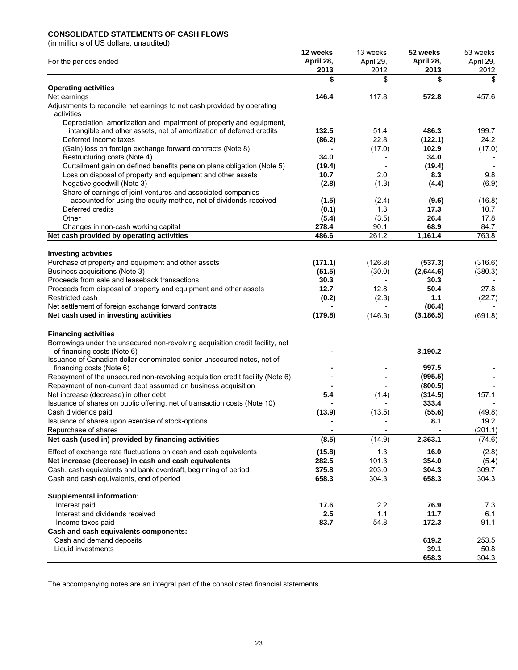### **CONSOLIDATED STATEMENTS OF CASH FLOWS**

(in millions of US dollars, unaudited)

| For the periods ended                                                                                                     | 12 weeks<br>April 28,<br>2013 | 13 weeks<br>April 29,<br>2012 | 52 weeks<br>April 28,<br>2013 | 53 weeks<br>April 29,<br>2012 |
|---------------------------------------------------------------------------------------------------------------------------|-------------------------------|-------------------------------|-------------------------------|-------------------------------|
|                                                                                                                           | \$                            | \$                            | \$                            | \$                            |
| <b>Operating activities</b>                                                                                               |                               |                               |                               |                               |
| Net earnings                                                                                                              | 146.4                         | 117.8                         | 572.8                         | 457.6                         |
| Adjustments to reconcile net earnings to net cash provided by operating<br>activities                                     |                               |                               |                               |                               |
| Depreciation, amortization and impairment of property and equipment,                                                      |                               |                               |                               |                               |
| intangible and other assets, net of amortization of deferred credits                                                      | 132.5                         | 51.4                          | 486.3                         | 199.7                         |
| Deferred income taxes                                                                                                     | (86.2)                        | 22.8                          | (122.1)                       | 24.2                          |
| (Gain) loss on foreign exchange forward contracts (Note 8)                                                                |                               | (17.0)                        | 102.9                         | (17.0)                        |
| Restructuring costs (Note 4)                                                                                              | 34.0                          |                               | 34.0                          |                               |
| Curtailment gain on defined benefits pension plans obligation (Note 5)                                                    | (19.4)                        | $\overline{\phantom{a}}$      | (19.4)                        |                               |
| Loss on disposal of property and equipment and other assets                                                               | 10.7                          | 2.0                           | 8.3                           | 9.8                           |
| Negative goodwill (Note 3)                                                                                                | (2.8)                         | (1.3)                         | (4.4)                         | (6.9)                         |
| Share of earnings of joint ventures and associated companies                                                              |                               |                               |                               |                               |
| accounted for using the equity method, net of dividends received<br>Deferred credits                                      | (1.5)<br>(0.1)                | (2.4)<br>1.3                  | (9.6)<br>17.3                 | (16.8)<br>10.7                |
| Other                                                                                                                     | (5.4)                         | (3.5)                         | 26.4                          | 17.8                          |
| Changes in non-cash working capital                                                                                       | 278.4                         | 90.1                          | 68.9                          | 84.7                          |
| Net cash provided by operating activities                                                                                 | 486.6                         | 261.2                         | 1,161.4                       | 763.8                         |
|                                                                                                                           |                               |                               |                               |                               |
| <b>Investing activities</b>                                                                                               |                               |                               |                               |                               |
| Purchase of property and equipment and other assets                                                                       | (171.1)                       | (126.8)                       | (537.3)                       | (316.6)                       |
| Business acquisitions (Note 3)<br>Proceeds from sale and leaseback transactions                                           | (51.5)<br>30.3                | (30.0)                        | (2,644.6)<br>30.3             | (380.3)                       |
| Proceeds from disposal of property and equipment and other assets                                                         | 12.7                          | 12.8                          | 50.4                          | 27.8                          |
| Restricted cash                                                                                                           | (0.2)                         | (2.3)                         | 1.1                           | (22.7)                        |
| Net settlement of foreign exchange forward contracts                                                                      |                               |                               | (86.4)                        |                               |
| Net cash used in investing activities                                                                                     | (179.8)                       | (146.3)                       | (3, 186.5)                    | (691.8)                       |
|                                                                                                                           |                               |                               |                               |                               |
| <b>Financing activities</b><br>Borrowings under the unsecured non-revolving acquisition credit facility, net              |                               |                               |                               |                               |
| of financing costs (Note 6)                                                                                               |                               |                               | 3,190.2                       |                               |
| Issuance of Canadian dollar denominated senior unsecured notes, net of                                                    |                               |                               |                               |                               |
| financing costs (Note 6)                                                                                                  |                               |                               | 997.5                         |                               |
| Repayment of the unsecured non-revolving acquisition credit facility (Note 6)                                             |                               |                               | (995.5)                       |                               |
| Repayment of non-current debt assumed on business acquisition                                                             |                               |                               | (800.5)                       |                               |
| Net increase (decrease) in other debt                                                                                     | 5.4                           | (1.4)                         | (314.5)                       | 157.1                         |
| Issuance of shares on public offering, net of transaction costs (Note 10)                                                 |                               |                               | 333.4                         |                               |
| Cash dividends paid                                                                                                       | (13.9)                        | (13.5)                        | (55.6)                        | (49.8)                        |
| Issuance of shares upon exercise of stock-options                                                                         |                               |                               | 8.1                           | 19.2                          |
| Repurchase of shares                                                                                                      | $\blacksquare$                | $\overline{\phantom{a}}$      | ۰                             | (201.1)                       |
| Net cash (used in) provided by financing activities                                                                       | (8.5)                         | (14.9)                        | 2,363.1                       | (74.6)                        |
| Effect of exchange rate fluctuations on cash and cash equivalents<br>Net increase (decrease) in cash and cash equivalents | (15.8)<br>282.5               | 1.3<br>101.3                  | 16.0<br>354.0                 | (2.8)                         |
| Cash, cash equivalents and bank overdraft, beginning of period                                                            | 375.8                         | 203.0                         | 304.3                         | (5.4)<br>309.7                |
| Cash and cash equivalents, end of period                                                                                  | 658.3                         | 304.3                         | 658.3                         | 304.3                         |
|                                                                                                                           |                               |                               |                               |                               |
| <b>Supplemental information:</b>                                                                                          |                               |                               |                               |                               |
| Interest paid                                                                                                             | 17.6                          | 2.2                           | 76.9                          | 7.3                           |
| Interest and dividends received                                                                                           | 2.5                           | 1.1                           | 11.7                          | 6.1                           |
| Income taxes paid<br>Cash and cash equivalents components:                                                                | 83.7                          | 54.8                          | 172.3                         | 91.1                          |
| Cash and demand deposits                                                                                                  |                               |                               | 619.2                         | 253.5                         |
| Liquid investments                                                                                                        |                               |                               | 39.1                          | 50.8                          |
|                                                                                                                           |                               |                               | 658.3                         | 304.3                         |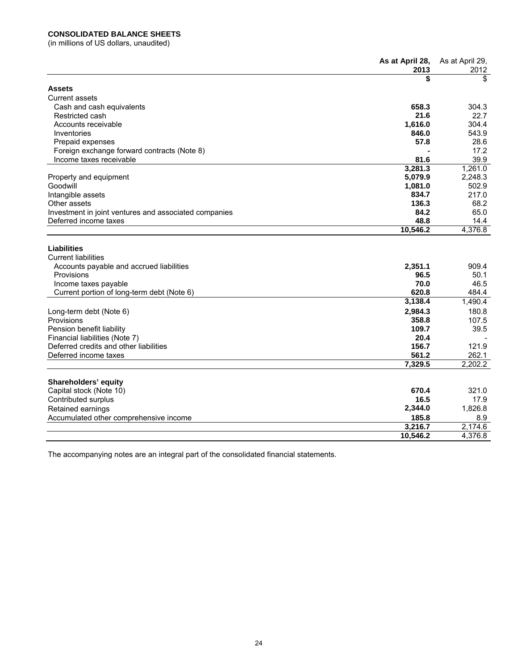### **CONSOLIDATED BALANCE SHEETS**

(in millions of US dollars, unaudited)

|                                                       | As at April 28,<br>2013 | As at April 29,<br>2012 |
|-------------------------------------------------------|-------------------------|-------------------------|
|                                                       | \$                      | \$                      |
| <b>Assets</b>                                         |                         |                         |
| <b>Current assets</b>                                 |                         |                         |
| Cash and cash equivalents                             | 658.3                   | 304.3                   |
| Restricted cash                                       | 21.6                    | 22.7                    |
| Accounts receivable                                   | 1.616.0                 | 304.4                   |
| Inventories                                           | 846.0                   | 543.9                   |
| Prepaid expenses                                      | 57.8                    | 28.6                    |
| Foreign exchange forward contracts (Note 8)           |                         | 17.2                    |
| Income taxes receivable                               | 81.6                    | 39.9                    |
|                                                       | 3,281.3                 | 1,261.0                 |
| Property and equipment<br>Goodwill                    | 5,079.9<br>1,081.0      | 2,248.3<br>502.9        |
| Intangible assets                                     | 834.7                   | 217.0                   |
| Other assets                                          | 136.3                   | 68.2                    |
| Investment in joint ventures and associated companies | 84.2                    | 65.0                    |
| Deferred income taxes                                 | 48.8                    | 14.4                    |
|                                                       | 10,546.2                | 4,376.8                 |
|                                                       |                         |                         |
| <b>Liabilities</b>                                    |                         |                         |
| <b>Current liabilities</b>                            |                         |                         |
| Accounts payable and accrued liabilities              | 2,351.1                 | 909.4                   |
| Provisions                                            | 96.5                    | 50.1                    |
| Income taxes payable                                  | 70.0                    | 46.5                    |
| Current portion of long-term debt (Note 6)            | 620.8                   | 484.4                   |
|                                                       | 3,138.4                 | 1,490.4                 |
| Long-term debt (Note 6)                               | 2,984.3                 | 180.8                   |
| Provisions                                            | 358.8                   | 107.5                   |
| Pension benefit liability                             | 109.7                   | 39.5                    |
| Financial liabilities (Note 7)                        | 20.4                    |                         |
| Deferred credits and other liabilities                | 156.7                   | 121.9                   |
| Deferred income taxes                                 | 561.2                   | 262.1                   |
|                                                       | 7,329.5                 | 2,202.2                 |
| Shareholders' equity                                  |                         |                         |
| Capital stock (Note 10)                               | 670.4                   | 321.0                   |
| Contributed surplus                                   | 16.5                    | 17.9                    |
| Retained earnings                                     | 2,344.0                 | 1,826.8                 |
| Accumulated other comprehensive income                | 185.8                   | 8.9                     |
|                                                       | 3,216.7                 | 2,174.6                 |
|                                                       | 10,546.2                | 4,376.8                 |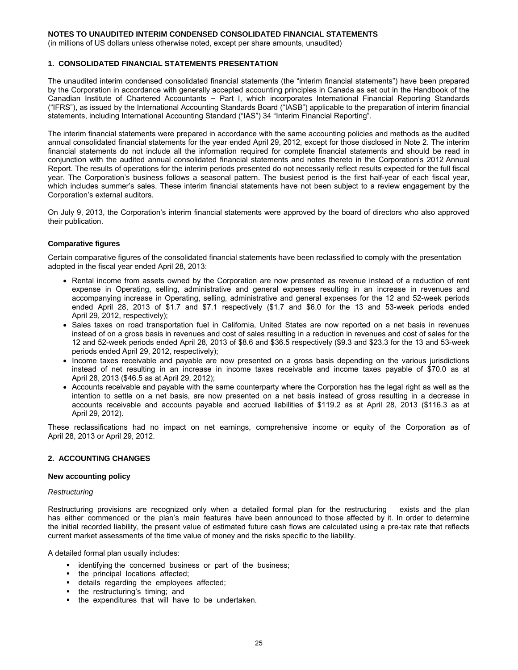(in millions of US dollars unless otherwise noted, except per share amounts, unaudited)

#### **1. CONSOLIDATED FINANCIAL STATEMENTS PRESENTATION**

The unaudited interim condensed consolidated financial statements (the "interim financial statements") have been prepared by the Corporation in accordance with generally accepted accounting principles in Canada as set out in the Handbook of the Canadian Institute of Chartered Accountants − Part I, which incorporates International Financial Reporting Standards ("IFRS"), as issued by the International Accounting Standards Board ("IASB") applicable to the preparation of interim financial statements, including International Accounting Standard ("IAS") 34 "Interim Financial Reporting".

The interim financial statements were prepared in accordance with the same accounting policies and methods as the audited annual consolidated financial statements for the year ended April 29, 2012, except for those disclosed in Note 2. The interim financial statements do not include all the information required for complete financial statements and should be read in conjunction with the audited annual consolidated financial statements and notes thereto in the Corporation's 2012 Annual Report. The results of operations for the interim periods presented do not necessarily reflect results expected for the full fiscal year. The Corporation's business follows a seasonal pattern. The busiest period is the first half-year of each fiscal year, which includes summer's sales. These interim financial statements have not been subject to a review engagement by the Corporation's external auditors.

On July 9, 2013, the Corporation's interim financial statements were approved by the board of directors who also approved their publication.

#### **Comparative figures**

Certain comparative figures of the consolidated financial statements have been reclassified to comply with the presentation adopted in the fiscal year ended April 28, 2013:

- Rental income from assets owned by the Corporation are now presented as revenue instead of a reduction of rent expense in Operating, selling, administrative and general expenses resulting in an increase in revenues and accompanying increase in Operating, selling, administrative and general expenses for the 12 and 52-week periods ended April 28, 2013 of \$1.7 and \$7.1 respectively (\$1.7 and \$6.0 for the 13 and 53-week periods ended April 29, 2012, respectively);
- Sales taxes on road transportation fuel in California, United States are now reported on a net basis in revenues instead of on a gross basis in revenues and cost of sales resulting in a reduction in revenues and cost of sales for the 12 and 52-week periods ended April 28, 2013 of \$8.6 and \$36.5 respectively (\$9.3 and \$23.3 for the 13 and 53-week periods ended April 29, 2012, respectively);
- Income taxes receivable and payable are now presented on a gross basis depending on the various jurisdictions instead of net resulting in an increase in income taxes receivable and income taxes payable of \$70.0 as at April 28, 2013 (\$46.5 as at April 29, 2012);
- Accounts receivable and payable with the same counterparty where the Corporation has the legal right as well as the intention to settle on a net basis, are now presented on a net basis instead of gross resulting in a decrease in accounts receivable and accounts payable and accrued liabilities of \$119.2 as at April 28, 2013 (\$116.3 as at April 29, 2012).

These reclassifications had no impact on net earnings, comprehensive income or equity of the Corporation as of April 28, 2013 or April 29, 2012.

#### **2. ACCOUNTING CHANGES**

#### **New accounting policy**

#### *Restructuring*

Restructuring provisions are recognized only when a detailed formal plan for the restructuring exists and the plan has either commenced or the plan's main features have been announced to those affected by it. In order to determine the initial recorded liability, the present value of estimated future cash flows are calculated using a pre-tax rate that reflects current market assessments of the time value of money and the risks specific to the liability.

A detailed formal plan usually includes:

- **identifying the concerned business or part of the business;**
- the principal locations affected:
- details regarding the employees affected;
- the restructuring's timing; and
- the expenditures that will have to be undertaken.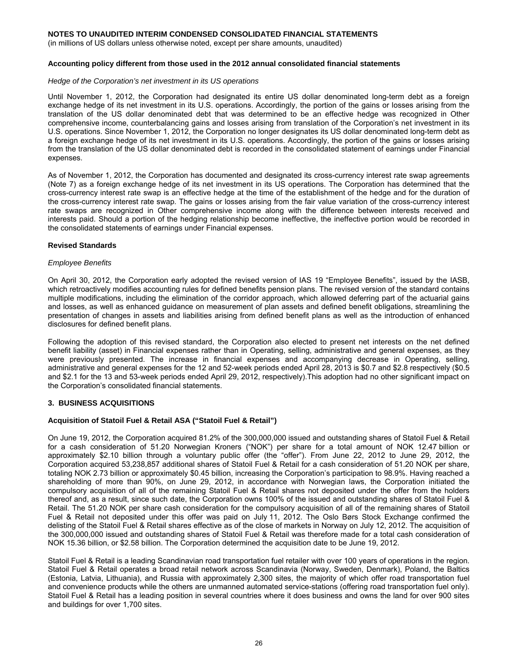(in millions of US dollars unless otherwise noted, except per share amounts, unaudited)

#### **Accounting policy different from those used in the 2012 annual consolidated financial statements**

#### *Hedge of the Corporation's net investment in its US operations*

Until November 1, 2012, the Corporation had designated its entire US dollar denominated long-term debt as a foreign exchange hedge of its net investment in its U.S. operations. Accordingly, the portion of the gains or losses arising from the translation of the US dollar denominated debt that was determined to be an effective hedge was recognized in Other comprehensive income, counterbalancing gains and losses arising from translation of the Corporation's net investment in its U.S. operations. Since November 1, 2012, the Corporation no longer designates its US dollar denominated long-term debt as a foreign exchange hedge of its net investment in its U.S. operations. Accordingly, the portion of the gains or losses arising from the translation of the US dollar denominated debt is recorded in the consolidated statement of earnings under Financial expenses.

As of November 1, 2012, the Corporation has documented and designated its cross-currency interest rate swap agreements (Note 7) as a foreign exchange hedge of its net investment in its US operations. The Corporation has determined that the cross-currency interest rate swap is an effective hedge at the time of the establishment of the hedge and for the duration of the cross-currency interest rate swap. The gains or losses arising from the fair value variation of the cross-currency interest rate swaps are recognized in Other comprehensive income along with the difference between interests received and interests paid. Should a portion of the hedging relationship become ineffective, the ineffective portion would be recorded in the consolidated statements of earnings under Financial expenses.

#### **Revised Standards**

#### *Employee Benefits*

On April 30, 2012, the Corporation early adopted the revised version of IAS 19 "Employee Benefits", issued by the IASB, which retroactively modifies accounting rules for defined benefits pension plans. The revised version of the standard contains multiple modifications, including the elimination of the corridor approach, which allowed deferring part of the actuarial gains and losses, as well as enhanced guidance on measurement of plan assets and defined benefit obligations, streamlining the presentation of changes in assets and liabilities arising from defined benefit plans as well as the introduction of enhanced disclosures for defined benefit plans.

Following the adoption of this revised standard, the Corporation also elected to present net interests on the net defined benefit liability (asset) in Financial expenses rather than in Operating, selling, administrative and general expenses, as they were previously presented. The increase in financial expenses and accompanying decrease in Operating, selling, administrative and general expenses for the 12 and 52-week periods ended April 28, 2013 is \$0.7 and \$2.8 respectively (\$0.5 and \$2.1 for the 13 and 53-week periods ended April 29, 2012, respectively).This adoption had no other significant impact on the Corporation's consolidated financial statements.

#### **3. BUSINESS ACQUISITIONS**

#### **Acquisition of Statoil Fuel & Retail ASA ("Statoil Fuel & Retail")**

On June 19, 2012, the Corporation acquired 81.2% of the 300,000,000 issued and outstanding shares of Statoil Fuel & Retail for a cash consideration of 51.20 Norwegian Kroners ("NOK") per share for a total amount of NOK 12.47 billion or approximately \$2.10 billion through a voluntary public offer (the "offer"). From June 22, 2012 to June 29, 2012, the Corporation acquired 53,238,857 additional shares of Statoil Fuel & Retail for a cash consideration of 51.20 NOK per share, totaling NOK 2.73 billion or approximately \$0.45 billion, increasing the Corporation's participation to 98.9%. Having reached a shareholding of more than 90%, on June 29, 2012, in accordance with Norwegian laws, the Corporation initiated the compulsory acquisition of all of the remaining Statoil Fuel & Retail shares not deposited under the offer from the holders thereof and, as a result, since such date, the Corporation owns 100% of the issued and outstanding shares of Statoil Fuel & Retail. The 51.20 NOK per share cash consideration for the compulsory acquisition of all of the remaining shares of Statoil Fuel & Retail not deposited under this offer was paid on July 11, 2012. The Oslo Børs Stock Exchange confirmed the delisting of the Statoil Fuel & Retail shares effective as of the close of markets in Norway on July 12, 2012. The acquisition of the 300,000,000 issued and outstanding shares of Statoil Fuel & Retail was therefore made for a total cash consideration of NOK 15.36 billion, or \$2.58 billion. The Corporation determined the acquisition date to be June 19, 2012.

Statoil Fuel & Retail is a leading Scandinavian road transportation fuel retailer with over 100 years of operations in the region. Statoil Fuel & Retail operates a broad retail network across Scandinavia (Norway, Sweden, Denmark), Poland, the Baltics (Estonia, Latvia, Lithuania), and Russia with approximately 2,300 sites, the majority of which offer road transportation fuel and convenience products while the others are unmanned automated service-stations (offering road transportation fuel only). Statoil Fuel & Retail has a leading position in several countries where it does business and owns the land for over 900 sites and buildings for over 1,700 sites.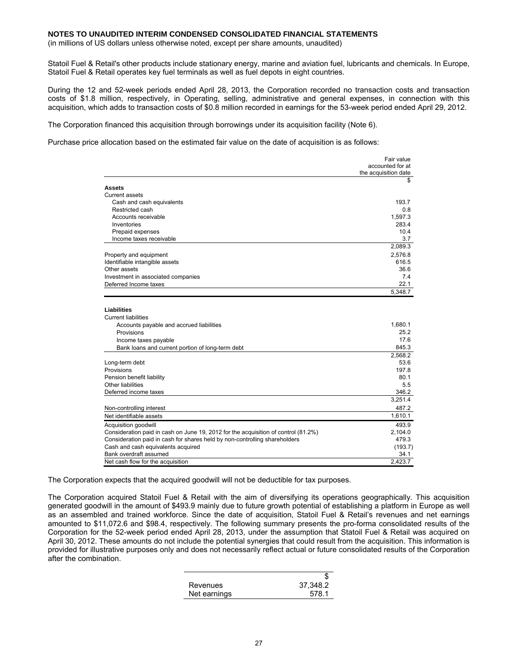(in millions of US dollars unless otherwise noted, except per share amounts, unaudited)

Statoil Fuel & Retail's other products include stationary energy, marine and aviation fuel, lubricants and chemicals. In Europe, Statoil Fuel & Retail operates key fuel terminals as well as fuel depots in eight countries.

During the 12 and 52-week periods ended April 28, 2013, the Corporation recorded no transaction costs and transaction costs of \$1.8 million, respectively, in Operating, selling, administrative and general expenses, in connection with this acquisition, which adds to transaction costs of \$0.8 million recorded in earnings for the 53-week period ended April 29, 2012.

The Corporation financed this acquisition through borrowings under its acquisition facility (Note 6).

Purchase price allocation based on the estimated fair value on the date of acquisition is as follows:

|                                                                                    | Fair value           |
|------------------------------------------------------------------------------------|----------------------|
|                                                                                    | accounted for at     |
|                                                                                    | the acquisition date |
|                                                                                    | S                    |
| <b>Assets</b>                                                                      |                      |
| Current assets                                                                     | 193.7                |
| Cash and cash equivalents                                                          | 0.8                  |
| Restricted cash<br>Accounts receivable                                             | 1,597.3              |
|                                                                                    | 283.4                |
| Inventories                                                                        |                      |
| Prepaid expenses                                                                   | 10.4<br>3.7          |
| Income taxes receivable                                                            |                      |
|                                                                                    | 2,089.3              |
| Property and equipment                                                             | 2,576.8              |
| Identifiable intangible assets                                                     | 616.5                |
| Other assets                                                                       | 36.6                 |
| Investment in associated companies                                                 | 7.4                  |
| Deferred Income taxes                                                              | 22.1                 |
|                                                                                    | 5,348.7              |
|                                                                                    |                      |
| <b>Liabilities</b>                                                                 |                      |
| <b>Current liabilities</b>                                                         |                      |
| Accounts payable and accrued liabilities                                           | 1,680.1              |
| Provisions                                                                         | 25.2                 |
| Income taxes payable                                                               | 17.6                 |
| Bank loans and current portion of long-term debt                                   | 845.3                |
|                                                                                    | 2,568.2              |
| Long-term debt                                                                     | 53.6                 |
| Provisions                                                                         | 197.8                |
| Pension benefit liability                                                          | 80.1                 |
| Other liabilities                                                                  | 5.5                  |
| Deferred income taxes                                                              | 346.2                |
|                                                                                    | 3,251.4              |
| Non-controlling interest                                                           | 487.2                |
| Net identifiable assets                                                            | 1,610.1              |
| Acquisition goodwill                                                               | 493.9                |
| Consideration paid in cash on June 19, 2012 for the acquisition of control (81.2%) | 2,104.0              |
| Consideration paid in cash for shares held by non-controlling shareholders         | 479.3                |
| Cash and cash equivalents acquired                                                 | (193.7)              |
| Bank overdraft assumed                                                             | 34.1                 |
|                                                                                    | 2.423.7              |
| Net cash flow for the acquisition                                                  |                      |

The Corporation expects that the acquired goodwill will not be deductible for tax purposes.

The Corporation acquired Statoil Fuel & Retail with the aim of diversifying its operations geographically. This acquisition generated goodwill in the amount of \$493.9 mainly due to future growth potential of establishing a platform in Europe as well as an assembled and trained workforce. Since the date of acquisition, Statoil Fuel & Retail's revenues and net earnings amounted to \$11,072.6 and \$98.4, respectively. The following summary presents the pro-forma consolidated results of the Corporation for the 52-week period ended April 28, 2013, under the assumption that Statoil Fuel & Retail was acquired on April 30, 2012. These amounts do not include the potential synergies that could result from the acquisition. This information is provided for illustrative purposes only and does not necessarily reflect actual or future consolidated results of the Corporation after the combination.

| Revenues     | 37,348.2 |
|--------------|----------|
| Net earnings | 578.1    |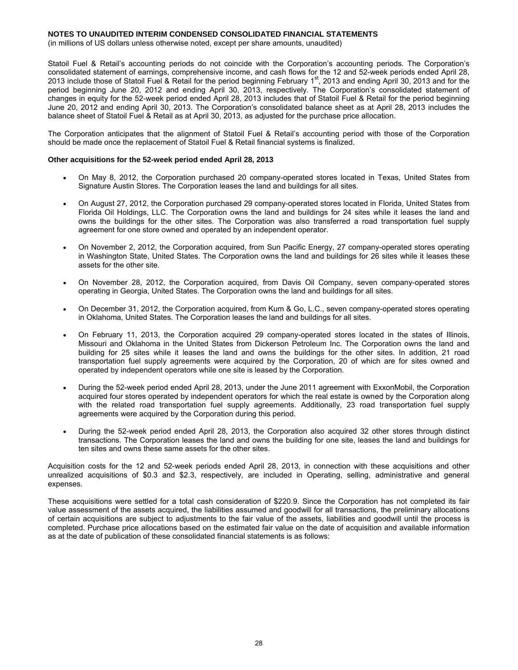(in millions of US dollars unless otherwise noted, except per share amounts, unaudited)

Statoil Fuel & Retail's accounting periods do not coincide with the Corporation's accounting periods. The Corporation's consolidated statement of earnings, comprehensive income, and cash flows for the 12 and 52-week periods ended April 28, 2013 include those of Statoil Fuel & Retail for the period beginning February 1<sup>st</sup>, 2013 and ending April 30, 2013 and for the period beginning June 20, 2012 and ending April 30, 2013, respectively. The Corporation's consolidated statement of changes in equity for the 52-week period ended April 28, 2013 includes that of Statoil Fuel & Retail for the period beginning June 20, 2012 and ending April 30, 2013. The Corporation's consolidated balance sheet as at April 28, 2013 includes the balance sheet of Statoil Fuel & Retail as at April 30, 2013, as adjusted for the purchase price allocation.

The Corporation anticipates that the alignment of Statoil Fuel & Retail's accounting period with those of the Corporation should be made once the replacement of Statoil Fuel & Retail financial systems is finalized.

#### **Other acquisitions for the 52-week period ended April 28, 2013**

- On May 8, 2012, the Corporation purchased 20 company-operated stores located in Texas, United States from Signature Austin Stores. The Corporation leases the land and buildings for all sites.
- On August 27, 2012, the Corporation purchased 29 company-operated stores located in Florida, United States from Florida Oil Holdings, LLC. The Corporation owns the land and buildings for 24 sites while it leases the land and owns the buildings for the other sites. The Corporation was also transferred a road transportation fuel supply agreement for one store owned and operated by an independent operator.
- On November 2, 2012, the Corporation acquired, from Sun Pacific Energy, 27 company-operated stores operating in Washington State, United States. The Corporation owns the land and buildings for 26 sites while it leases these assets for the other site.
- On November 28, 2012, the Corporation acquired, from Davis Oil Company, seven company-operated stores operating in Georgia, United States. The Corporation owns the land and buildings for all sites.
- On December 31, 2012, the Corporation acquired, from Kum & Go, L.C., seven company-operated stores operating in Oklahoma, United States. The Corporation leases the land and buildings for all sites.
- On February 11, 2013, the Corporation acquired 29 company-operated stores located in the states of Illinois, Missouri and Oklahoma in the United States from Dickerson Petroleum Inc. The Corporation owns the land and building for 25 sites while it leases the land and owns the buildings for the other sites. In addition, 21 road transportation fuel supply agreements were acquired by the Corporation, 20 of which are for sites owned and operated by independent operators while one site is leased by the Corporation.
- During the 52-week period ended April 28, 2013, under the June 2011 agreement with ExxonMobil, the Corporation acquired four stores operated by independent operators for which the real estate is owned by the Corporation along with the related road transportation fuel supply agreements. Additionally, 23 road transportation fuel supply agreements were acquired by the Corporation during this period.
- During the 52-week period ended April 28, 2013, the Corporation also acquired 32 other stores through distinct transactions. The Corporation leases the land and owns the building for one site, leases the land and buildings for ten sites and owns these same assets for the other sites.

Acquisition costs for the 12 and 52-week periods ended April 28, 2013, in connection with these acquisitions and other unrealized acquisitions of \$0.3 and \$2.3, respectively, are included in Operating, selling, administrative and general expenses.

These acquisitions were settled for a total cash consideration of \$220.9. Since the Corporation has not completed its fair value assessment of the assets acquired, the liabilities assumed and goodwill for all transactions, the preliminary allocations of certain acquisitions are subject to adjustments to the fair value of the assets, liabilities and goodwill until the process is completed. Purchase price allocations based on the estimated fair value on the date of acquisition and available information as at the date of publication of these consolidated financial statements is as follows: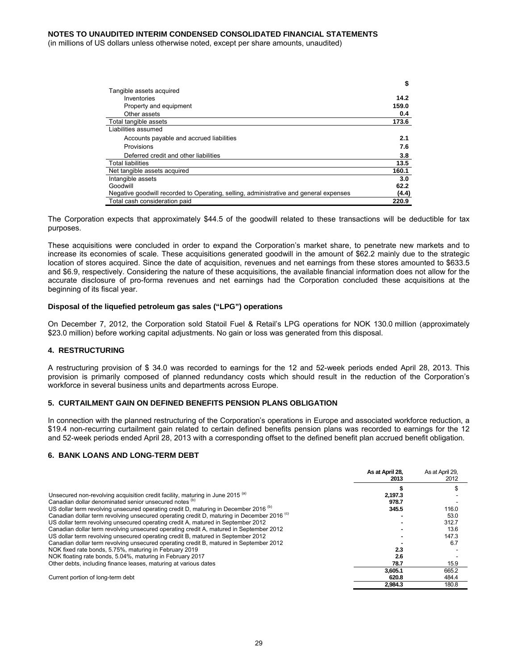(in millions of US dollars unless otherwise noted, except per share amounts, unaudited)

|                                                                                       | \$    |
|---------------------------------------------------------------------------------------|-------|
| Tangible assets acquired                                                              |       |
| Inventories                                                                           | 14.2  |
| Property and equipment                                                                | 159.0 |
| Other assets                                                                          | 0.4   |
| Total tangible assets                                                                 | 173.6 |
| Liabilities assumed                                                                   |       |
| Accounts payable and accrued liabilities                                              | 2.1   |
| Provisions                                                                            | 7.6   |
| Deferred credit and other liabilities                                                 | 3.8   |
| <b>Total liabilities</b>                                                              | 13.5  |
| Net tangible assets acquired                                                          | 160.1 |
| Intangible assets                                                                     | 3.0   |
| Goodwill                                                                              | 62.2  |
| Negative goodwill recorded to Operating, selling, administrative and general expenses | (4.4) |
| Total cash consideration paid                                                         | 220.9 |

The Corporation expects that approximately \$44.5 of the goodwill related to these transactions will be deductible for tax purposes.

These acquisitions were concluded in order to expand the Corporation's market share, to penetrate new markets and to increase its economies of scale. These acquisitions generated goodwill in the amount of \$62.2 mainly due to the strategic location of stores acquired. Since the date of acquisition, revenues and net earnings from these stores amounted to \$633.5 and \$6.9, respectively. Considering the nature of these acquisitions, the available financial information does not allow for the accurate disclosure of pro-forma revenues and net earnings had the Corporation concluded these acquisitions at the beginning of its fiscal year.

#### **Disposal of the liquefied petroleum gas sales ("LPG") operations**

On December 7, 2012, the Corporation sold Statoil Fuel & Retail's LPG operations for NOK 130.0 million (approximately \$23.0 million) before working capital adjustments. No gain or loss was generated from this disposal.

#### **4. RESTRUCTURING**

A restructuring provision of \$ 34.0 was recorded to earnings for the 12 and 52-week periods ended April 28, 2013. This provision is primarily composed of planned redundancy costs which should result in the reduction of the Corporation's workforce in several business units and departments across Europe.

#### **5. CURTAILMENT GAIN ON DEFINED BENEFITS PENSION PLANS OBLIGATION**

In connection with the planned restructuring of the Corporation's operations in Europe and associated workforce reduction, a \$19.4 non-recurring curtailment gain related to certain defined benefits pension plans was recorded to earnings for the 12 and 52-week periods ended April 28, 2013 with a corresponding offset to the defined benefit plan accrued benefit obligation.

#### **6. BANK LOANS AND LONG-TERM DEBT**

|                                                                                                       | As at April 28.<br>2013 | As at April 29.<br>2012 |
|-------------------------------------------------------------------------------------------------------|-------------------------|-------------------------|
|                                                                                                       |                         |                         |
| Unsecured non-revolving acquisition credit facility, maturing in June 2015 <sup>(a)</sup>             | 2.197.3                 |                         |
| Canadian dollar denominated senior unsecured notes (b)                                                | 978.7                   |                         |
| US dollar term revolving unsecured operating credit D, maturing in December 2016 <sup>(b)</sup>       | 345.5                   | 116.0                   |
| Canadian dollar term revolving unsecured operating credit D, maturing in December 2016 <sup>(c)</sup> |                         | 53.0                    |
| US dollar term revolving unsecured operating credit A, matured in September 2012                      |                         | 312.7                   |
| Canadian dollar term revolving unsecured operating credit A, matured in September 2012                |                         | 13.6                    |
| US dollar term revolving unsecured operating credit B, matured in September 2012                      |                         | 147.3                   |
| Canadian dollar term revolving unsecured operating credit B, matured in September 2012                |                         | 6.7                     |
| NOK fixed rate bonds, 5.75%, maturing in February 2019                                                | 2.3                     |                         |
| NOK floating rate bonds, 5.04%, maturing in February 2017                                             | 2.6                     |                         |
| Other debts, including finance leases, maturing at various dates                                      | 78.7                    | 15.9                    |
|                                                                                                       | 3.605.1                 | 665.2                   |
| Current portion of long-term debt                                                                     | 620.8                   | 484.4                   |
|                                                                                                       | 2,984.3                 | 180.8                   |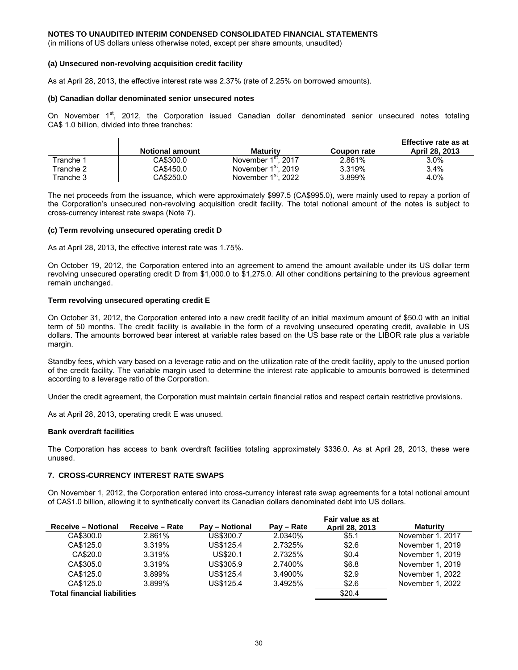(in millions of US dollars unless otherwise noted, except per share amounts, unaudited)

#### **(a) Unsecured non-revolving acquisition credit facility**

As at April 28, 2013, the effective interest rate was 2.37% (rate of 2.25% on borrowed amounts).

#### **(b) Canadian dollar denominated senior unsecured notes**

On November 1<sup>st</sup>, 2012, the Corporation issued Canadian dollar denominated senior unsecured notes totaling CA\$ 1.0 billion, divided into three tranches:

|           | <b>Notional amount</b> | <b>Maturity</b>                      | Coupon rate | Effective rate as at<br>April 28, 2013 |
|-----------|------------------------|--------------------------------------|-------------|----------------------------------------|
|           |                        |                                      |             |                                        |
| Franche 1 | CA\$300.0              | . 2017<br>November 1 <sup>st</sup> . | 2.861%      | $3.0\%$                                |
| Tranche 2 | CA\$450.0              | November 1 <sup>st</sup> , 2019      | 3.319%      | 3.4%                                   |
| Franche 3 | CA\$250.0              | November 1 <sup>st</sup> , 2022      | 3.899%      | 4.0%                                   |

The net proceeds from the issuance, which were approximately \$997.5 (CA\$995.0), were mainly used to repay a portion of the Corporation's unsecured non-revolving acquisition credit facility. The total notional amount of the notes is subject to cross-currency interest rate swaps (Note 7).

#### **(c) Term revolving unsecured operating credit D**

As at April 28, 2013, the effective interest rate was 1.75%.

On October 19, 2012, the Corporation entered into an agreement to amend the amount available under its US dollar term revolving unsecured operating credit D from \$1,000.0 to \$1,275.0. All other conditions pertaining to the previous agreement remain unchanged.

#### **Term revolving unsecured operating credit E**

On October 31, 2012, the Corporation entered into a new credit facility of an initial maximum amount of \$50.0 with an initial term of 50 months. The credit facility is available in the form of a revolving unsecured operating credit, available in US dollars. The amounts borrowed bear interest at variable rates based on the US base rate or the LIBOR rate plus a variable margin.

Standby fees, which vary based on a leverage ratio and on the utilization rate of the credit facility, apply to the unused portion of the credit facility. The variable margin used to determine the interest rate applicable to amounts borrowed is determined according to a leverage ratio of the Corporation.

Under the credit agreement, the Corporation must maintain certain financial ratios and respect certain restrictive provisions.

As at April 28, 2013, operating credit E was unused.

#### **Bank overdraft facilities**

The Corporation has access to bank overdraft facilities totaling approximately \$336.0. As at April 28, 2013, these were unused.

#### **7. CROSS-CURRENCY INTEREST RATE SWAPS**

On November 1, 2012, the Corporation entered into cross-currency interest rate swap agreements for a total notional amount of CA\$1.0 billion, allowing it to synthetically convert its Canadian dollars denominated debt into US dollars.

|                                    |                |                       | Fair value as at |                |                  |  |
|------------------------------------|----------------|-----------------------|------------------|----------------|------------------|--|
| <b>Receive - Notional</b>          | Receive - Rate | <b>Pay - Notional</b> | Pay – Rate       | April 28, 2013 | <b>Maturity</b>  |  |
| CA\$300.0                          | 2.861%         | US\$300.7             | 2.0340%          | \$5.1          | November 1, 2017 |  |
| CA\$125.0                          | 3.319%         | US\$125.4             | 2.7325%          | \$2.6          | November 1, 2019 |  |
| CA\$20.0                           | 3.319%         | US\$20.1              | 2.7325%          | \$0.4          | November 1, 2019 |  |
| CA\$305.0                          | 3.319%         | US\$305.9             | 2.7400%          | \$6.8          | November 1, 2019 |  |
| CA\$125.0                          | 3.899%         | US\$125.4             | 3.4900%          | \$2.9          | November 1, 2022 |  |
| CA\$125.0                          | 3.899%         | US\$125.4             | 3.4925%          | \$2.6          | November 1, 2022 |  |
| <b>Total financial liabilities</b> |                |                       |                  | \$20.4         |                  |  |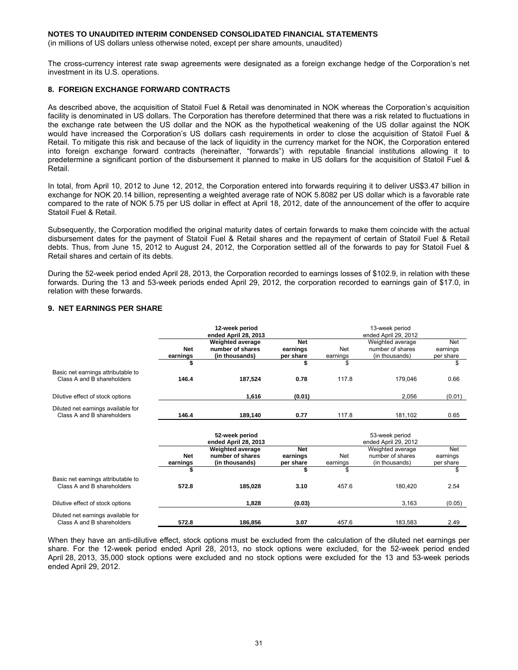(in millions of US dollars unless otherwise noted, except per share amounts, unaudited)

The cross-currency interest rate swap agreements were designated as a foreign exchange hedge of the Corporation's net investment in its U.S. operations.

#### **8. FOREIGN EXCHANGE FORWARD CONTRACTS**

As described above, the acquisition of Statoil Fuel & Retail was denominated in NOK whereas the Corporation's acquisition facility is denominated in US dollars. The Corporation has therefore determined that there was a risk related to fluctuations in the exchange rate between the US dollar and the NOK as the hypothetical weakening of the US dollar against the NOK would have increased the Corporation's US dollars cash requirements in order to close the acquisition of Statoil Fuel & Retail. To mitigate this risk and because of the lack of liquidity in the currency market for the NOK, the Corporation entered into foreign exchange forward contracts (hereinafter, "forwards") with reputable financial institutions allowing it to predetermine a significant portion of the disbursement it planned to make in US dollars for the acquisition of Statoil Fuel & Retail.

In total, from April 10, 2012 to June 12, 2012, the Corporation entered into forwards requiring it to deliver US\$3.47 billion in exchange for NOK 20.14 billion, representing a weighted average rate of NOK 5.8082 per US dollar which is a favorable rate compared to the rate of NOK 5.75 per US dollar in effect at April 18, 2012, date of the announcement of the offer to acquire Statoil Fuel & Retail.

Subsequently, the Corporation modified the original maturity dates of certain forwards to make them coincide with the actual disbursement dates for the payment of Statoil Fuel & Retail shares and the repayment of certain of Statoil Fuel & Retail debts. Thus, from June 15, 2012 to August 24, 2012, the Corporation settled all of the forwards to pay for Statoil Fuel & Retail shares and certain of its debts.

During the 52-week period ended April 28, 2013, the Corporation recorded to earnings losses of \$102.9, in relation with these forwards. During the 13 and 53-week periods ended April 29, 2012, the corporation recorded to earnings gain of \$17.0, in relation with these forwards.

#### **9. NET EARNINGS PER SHARE**

|                                                                  |                        | 12-week period<br>ended April 28, 2013                        |                                     | 13-week period<br>ended April 29, 2012 |                                                        |                                     |  |  |
|------------------------------------------------------------------|------------------------|---------------------------------------------------------------|-------------------------------------|----------------------------------------|--------------------------------------------------------|-------------------------------------|--|--|
|                                                                  | <b>Net</b><br>earnings | <b>Weighted average</b><br>number of shares<br>(in thousands) | <b>Net</b><br>earnings<br>per share | <b>Net</b><br>earnings                 | Weighted average<br>number of shares<br>(in thousands) | <b>Net</b><br>earnings<br>per share |  |  |
|                                                                  |                        |                                                               | \$                                  | \$                                     |                                                        | \$                                  |  |  |
| Basic net earnings attributable to<br>Class A and B shareholders | 146.4                  | 187,524                                                       | 0.78                                | 117.8                                  | 179,046                                                | 0.66                                |  |  |
| Dilutive effect of stock options                                 |                        | 1,616                                                         | (0.01)                              |                                        | 2.056                                                  | (0.01)                              |  |  |
| Diluted net earnings available for<br>Class A and B shareholders | 146.4                  | 189,140                                                       | 0.77                                | 117.8                                  | 181,102                                                | 0.65                                |  |  |
|                                                                  |                        | 52-week period<br>ended April 28, 2013                        |                                     |                                        | 53-week period<br>ended April 29, 2012                 |                                     |  |  |
|                                                                  | <b>Net</b><br>earnings | <b>Weighted average</b><br>number of shares<br>(in thousands) | <b>Net</b><br>earnings<br>per share | <b>Net</b><br>earnings                 | Weighted average<br>number of shares<br>(in thousands) | <b>Net</b><br>earnings<br>per share |  |  |
|                                                                  |                        |                                                               | \$                                  | \$                                     |                                                        | \$                                  |  |  |
| Basic net earnings attributable to<br>Class A and B shareholders | 572.8                  | 185,028                                                       | 3.10                                | 457.6                                  | 180,420                                                | 2.54                                |  |  |
| Dilutive effect of stock options                                 |                        | 1,828                                                         | (0.03)                              |                                        | 3,163                                                  | (0.05)                              |  |  |
| Diluted net earnings available for<br>Class A and B shareholders | 572.8                  | 186.856                                                       | 3.07                                | 457.6                                  | 183.583                                                | 2.49                                |  |  |

When they have an anti-dilutive effect, stock options must be excluded from the calculation of the diluted net earnings per share. For the 12-week period ended April 28, 2013, no stock options were excluded, for the 52-week period ended April 28, 2013, 35,000 stock options were excluded and no stock options were excluded for the 13 and 53-week periods ended April 29, 2012.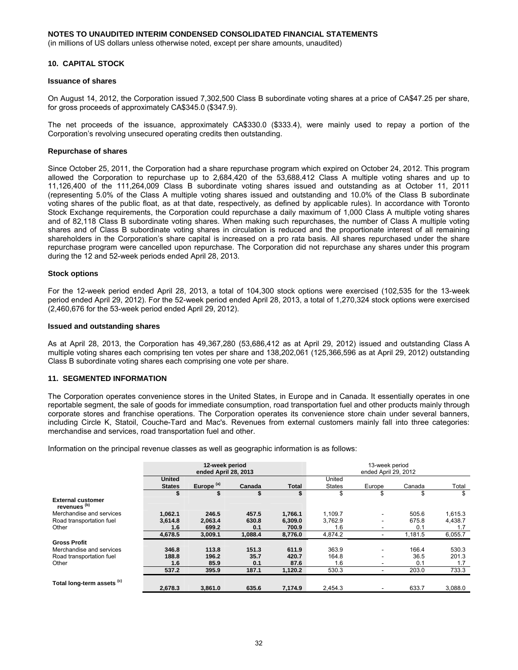(in millions of US dollars unless otherwise noted, except per share amounts, unaudited)

#### **10. CAPITAL STOCK**

#### **Issuance of shares**

On August 14, 2012, the Corporation issued 7,302,500 Class B subordinate voting shares at a price of CA\$47.25 per share, for gross proceeds of approximately CA\$345.0 (\$347.9).

The net proceeds of the issuance, approximately CA\$330.0 (\$333.4), were mainly used to repay a portion of the Corporation's revolving unsecured operating credits then outstanding.

#### **Repurchase of shares**

Since October 25, 2011, the Corporation had a share repurchase program which expired on October 24, 2012. This program allowed the Corporation to repurchase up to 2,684,420 of the 53,688,412 Class A multiple voting shares and up to 11,126,400 of the 111,264,009 Class B subordinate voting shares issued and outstanding as at October 11, 2011 (representing 5.0% of the Class A multiple voting shares issued and outstanding and 10.0% of the Class B subordinate voting shares of the public float, as at that date, respectively, as defined by applicable rules). In accordance with Toronto Stock Exchange requirements, the Corporation could repurchase a daily maximum of 1,000 Class A multiple voting shares and of 82,118 Class B subordinate voting shares. When making such repurchases, the number of Class A multiple voting shares and of Class B subordinate voting shares in circulation is reduced and the proportionate interest of all remaining shareholders in the Corporation's share capital is increased on a pro rata basis. All shares repurchased under the share repurchase program were cancelled upon repurchase. The Corporation did not repurchase any shares under this program during the 12 and 52-week periods ended April 28, 2013.

#### **Stock options**

For the 12-week period ended April 28, 2013, a total of 104,300 stock options were exercised (102,535 for the 13-week period ended April 29, 2012). For the 52-week period ended April 28, 2013, a total of 1,270,324 stock options were exercised (2,460,676 for the 53-week period ended April 29, 2012).

#### **Issued and outstanding shares**

As at April 28, 2013, the Corporation has 49,367,280 (53,686,412 as at April 29, 2012) issued and outstanding Class A multiple voting shares each comprising ten votes per share and 138,202,061 (125,366,596 as at April 29, 2012) outstanding Class B subordinate voting shares each comprising one vote per share.

#### **11. SEGMENTED INFORMATION**

The Corporation operates convenience stores in the United States, in Europe and in Canada. It essentially operates in one reportable segment, the sale of goods for immediate consumption, road transportation fuel and other products mainly through corporate stores and franchise operations. The Corporation operates its convenience store chain under several banners, including Circle K, Statoil, Couche-Tard and Mac's. Revenues from external customers mainly fall into three categories: merchandise and services, road transportation fuel and other.

Information on the principal revenue classes as well as geographic information is as follows:

|                                                     | 12-week period<br>ended April 28, 2013 |                       |         |              | 13-week period<br>ended April 29, 2012 |        |         |         |
|-----------------------------------------------------|----------------------------------------|-----------------------|---------|--------------|----------------------------------------|--------|---------|---------|
|                                                     | <b>United</b><br><b>States</b>         | Europe <sup>(a)</sup> | Canada  | <b>Total</b> | United<br><b>States</b>                | Europe | Canada  | Total   |
|                                                     | \$                                     |                       |         | \$           | S                                      |        | \$      | \$      |
| <b>External customer</b><br>revenues <sup>(b)</sup> |                                        |                       |         |              |                                        |        |         |         |
| Merchandise and services                            | 1,062.1                                | 246.5                 | 457.5   | 1,766.1      | 1.109.7                                |        | 505.6   | 1,615.3 |
| Road transportation fuel                            | 3,614.8                                | 2,063.4               | 630.8   | 6,309.0      | 3.762.9                                |        | 675.8   | 4,438.7 |
| Other                                               | 1.6                                    | 699.2                 | 0.1     | 700.9        | 1.6                                    |        | 0.1     | 1.7     |
|                                                     | 4.678.5                                | 3.009.1               | 1.088.4 | 8,776.0      | 4.874.2                                |        | 1.181.5 | 6,055.7 |
| <b>Gross Profit</b>                                 |                                        |                       |         |              |                                        |        |         |         |
| Merchandise and services                            | 346.8                                  | 113.8                 | 151.3   | 611.9        | 363.9                                  |        | 166.4   | 530.3   |
| Road transportation fuel                            | 188.8                                  | 196.2                 | 35.7    | 420.7        | 164.8                                  |        | 36.5    | 201.3   |
| Other                                               | 1.6                                    | 85.9                  | 0.1     | 87.6         | 1.6                                    | -      | 0.1     | 1.7     |
|                                                     | 537.2                                  | 395.9                 | 187.1   | 1,120.2      | 530.3                                  |        | 203.0   | 733.3   |
| Total long-term assets (c)                          |                                        |                       |         |              |                                        |        |         |         |
|                                                     | 2.678.3                                | 3,861.0               | 635.6   | 7.174.9      | 2.454.3                                |        | 633.7   | 3.088.0 |